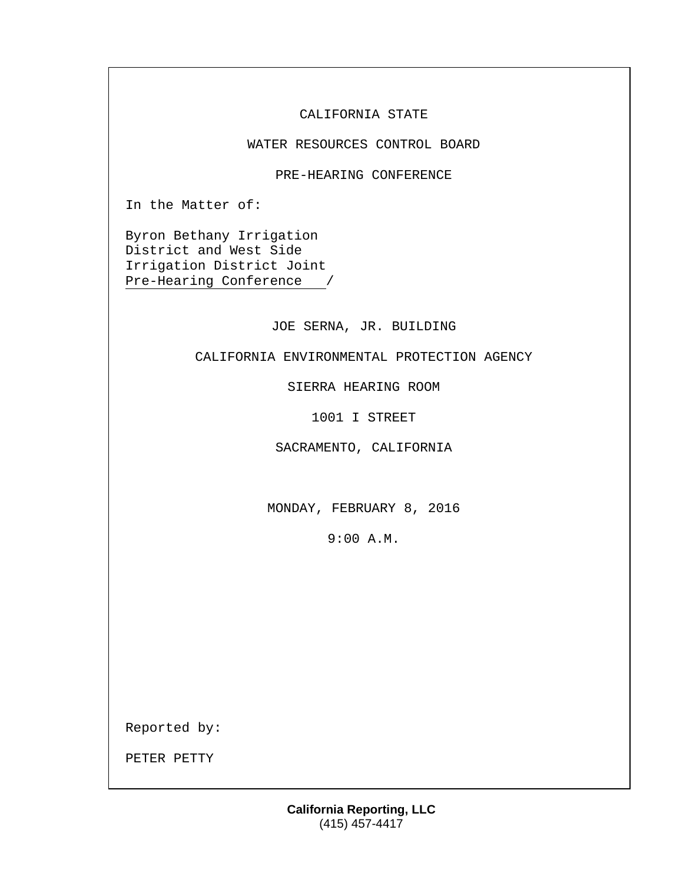CALIFORNIA STATE

WATER RESOURCES CONTROL BOARD

PRE-HEARING CONFERENCE

In the Matter of:

Byron Bethany Irrigation District and West Side Irrigation District Joint Pre-Hearing Conference /

JOE SERNA, JR. BUILDING

CALIFORNIA ENVIRONMENTAL PROTECTION AGENCY

SIERRA HEARING ROOM

1001 I STREET

SACRAMENTO, CALIFORNIA

MONDAY, FEBRUARY 8, 2016

9:00 A.M.

Reported by:

PETER PETTY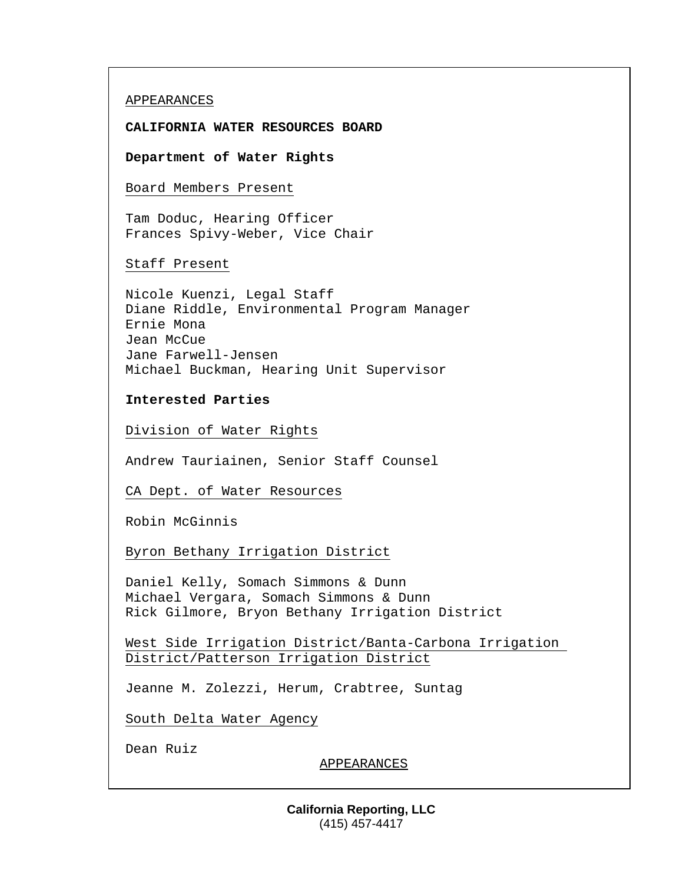## APPEARANCES

## **CALIFORNIA WATER RESOURCES BOARD**

**Department of Water Rights**

Board Members Present

Tam Doduc, Hearing Officer Frances Spivy-Weber, Vice Chair

Staff Present

Nicole Kuenzi, Legal Staff Diane Riddle, Environmental Program Manager Ernie Mona Jean McCue Jane Farwell-Jensen Michael Buckman, Hearing Unit Supervisor

**Interested Parties**

Division of Water Rights

Andrew Tauriainen, Senior Staff Counsel

CA Dept. of Water Resources

Robin McGinnis

Byron Bethany Irrigation District

Daniel Kelly, Somach Simmons & Dunn Michael Vergara, Somach Simmons & Dunn Rick Gilmore, Bryon Bethany Irrigation District

West Side Irrigation District/Banta-Carbona Irrigation District/Patterson Irrigation District

Jeanne M. Zolezzi, Herum, Crabtree, Suntag

South Delta Water Agency

Dean Ruiz

APPEARANCES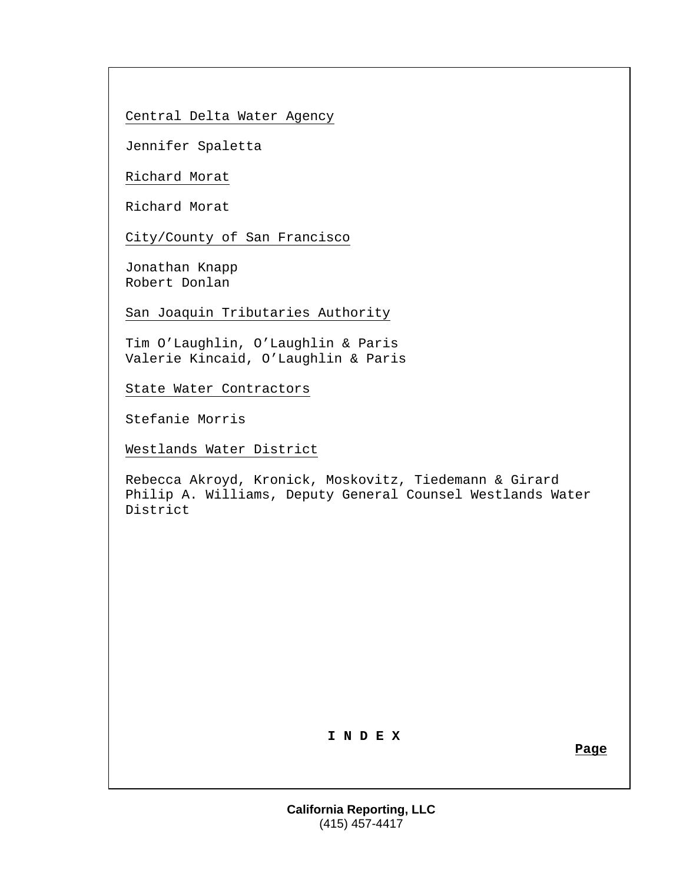Central Delta Water Agency

Jennifer Spaletta

Richard Morat

Richard Morat

City/County of San Francisco

Jonathan Knapp Robert Donlan

San Joaquin Tributaries Authority

Tim O'Laughlin, O'Laughlin & Paris Valerie Kincaid, O'Laughlin & Paris

State Water Contractors

Stefanie Morris

Westlands Water District

Rebecca Akroyd, Kronick, Moskovitz, Tiedemann & Girard Philip A. Williams, Deputy General Counsel Westlands Water District

# **I N D E X**

**Page**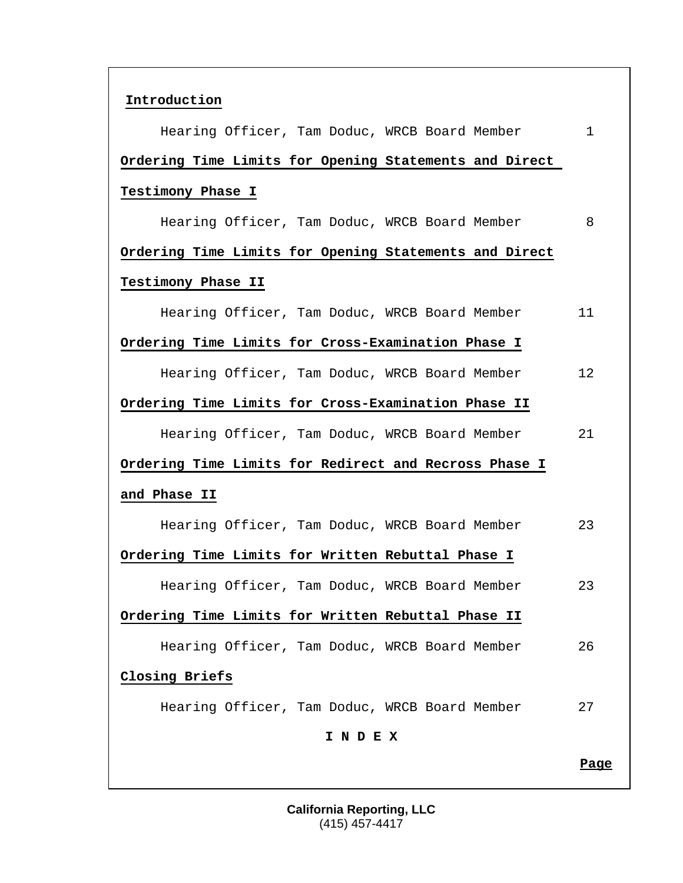| Introduction                                           |              |
|--------------------------------------------------------|--------------|
| Hearing Officer, Tam Doduc, WRCB Board Member          | $\mathbf{1}$ |
| Ordering Time Limits for Opening Statements and Direct |              |
| Testimony Phase I                                      |              |
| Hearing Officer, Tam Doduc, WRCB Board Member          | 8            |
| Ordering Time Limits for Opening Statements and Direct |              |
| Testimony Phase II                                     |              |
| Hearing Officer, Tam Doduc, WRCB Board Member          | 11           |
| Ordering Time Limits for Cross-Examination Phase I     |              |
| Hearing Officer, Tam Doduc, WRCB Board Member          | 12           |
| Ordering Time Limits for Cross-Examination Phase II    |              |
| Hearing Officer, Tam Doduc, WRCB Board Member          | 21           |
| Ordering Time Limits for Redirect and Recross Phase I  |              |
| and Phase II                                           |              |
| Hearing Officer, Tam Doduc, WRCB Board Member          | 23           |
| Ordering Time Limits for Written Rebuttal Phase I      |              |
| Hearing Officer, Tam Doduc, WRCB Board Member          | 23           |
| Ordering Time Limits for Written Rebuttal Phase II     |              |
| Hearing Officer, Tam Doduc, WRCB Board Member          | 26           |
| Closing Briefs                                         |              |
| Hearing Officer, Tam Doduc, WRCB Board Member          | 27           |
| I N D E X                                              |              |
|                                                        | <u>Page</u>  |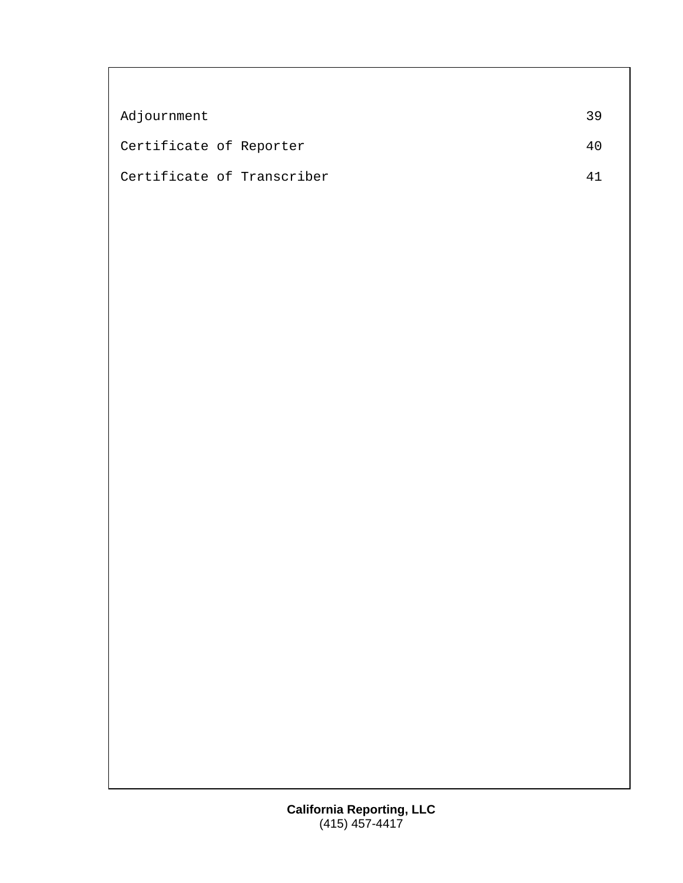| Adjournment                | 39  |
|----------------------------|-----|
| Certificate of Reporter    | 4 ( |
| Certificate of Transcriber |     |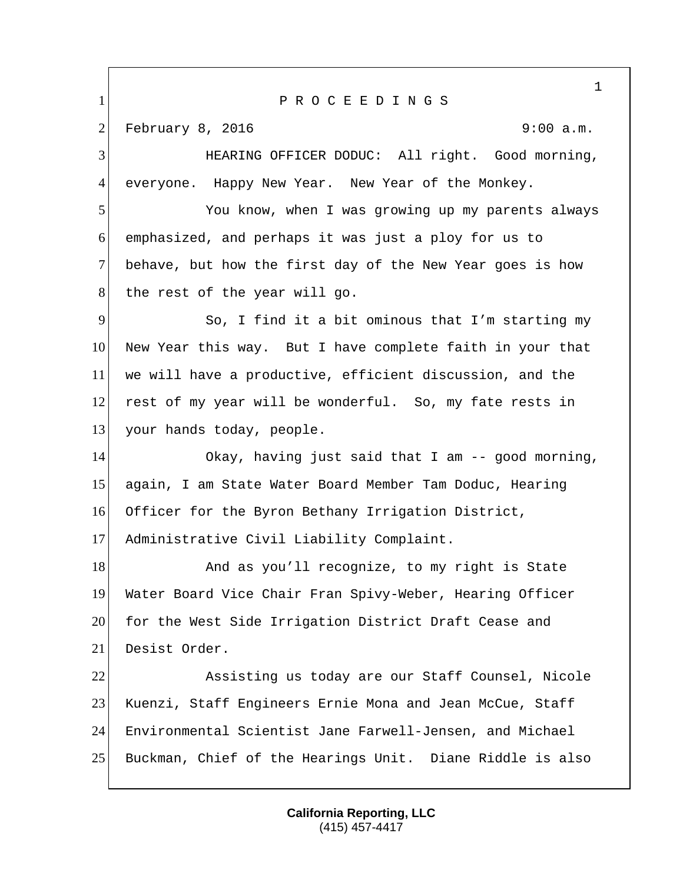1 P R O C E E D I N G S 2 February 8, 2016 9:00 a.m. HEARING OFFICER DODUC: All right. Good morning, 4 everyone. Happy New Year. New Year of the Monkey. You know, when I was growing up my parents always emphasized, and perhaps it was just a ploy for us to behave, but how the first day of the New Year goes is how 8 the rest of the year will go. So, I find it a bit ominous that I'm starting my New Year this way. But I have complete faith in your that we will have a productive, efficient discussion, and the rest of my year will be wonderful. So, my fate rests in 13 your hands today, people. Okay, having just said that I am -- good morning, again, I am State Water Board Member Tam Doduc, Hearing Officer for the Byron Bethany Irrigation District, Administrative Civil Liability Complaint. 18 And as you'll recognize, to my right is State Water Board Vice Chair Fran Spivy-Weber, Hearing Officer 20 for the West Side Irrigation District Draft Cease and Desist Order. Assisting us today are our Staff Counsel, Nicole Kuenzi, Staff Engineers Ernie Mona and Jean McCue, Staff Environmental Scientist Jane Farwell-Jensen, and Michael Buckman, Chief of the Hearings Unit. Diane Riddle is also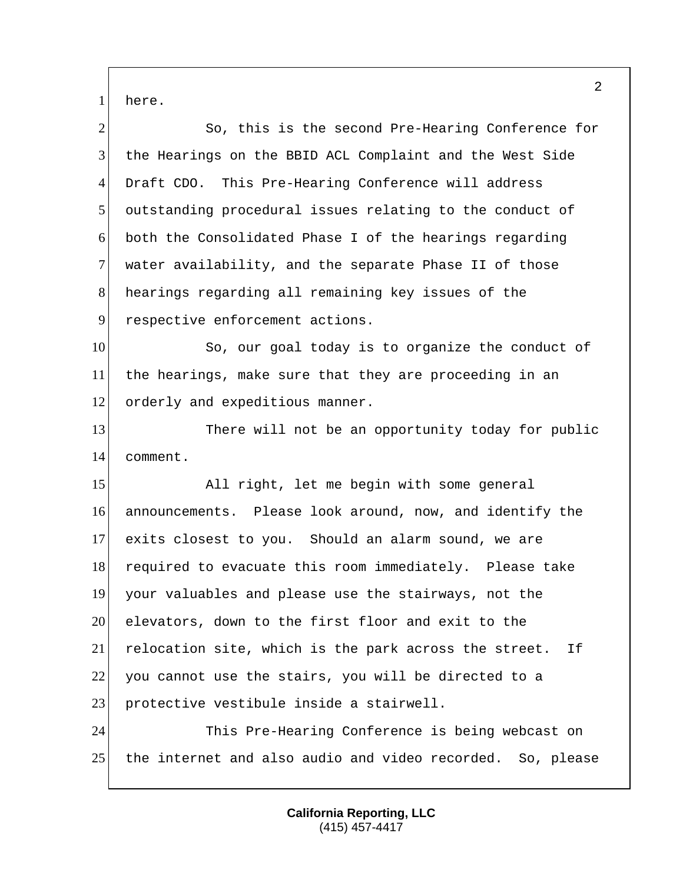1 here.

| $\overline{2}$ | So, this is the second Pre-Hearing Conference for           |
|----------------|-------------------------------------------------------------|
| 3              | the Hearings on the BBID ACL Complaint and the West Side    |
| 4              | Draft CDO. This Pre-Hearing Conference will address         |
| 5              | outstanding procedural issues relating to the conduct of    |
| 6              | both the Consolidated Phase I of the hearings regarding     |
| $\tau$         | water availability, and the separate Phase II of those      |
| 8              | hearings regarding all remaining key issues of the          |
| 9              | respective enforcement actions.                             |
| 10             | So, our goal today is to organize the conduct of            |
| 11             | the hearings, make sure that they are proceeding in an      |
| 12             | orderly and expeditious manner.                             |
| 13             | There will not be an opportunity today for public           |
| 14             | comment.                                                    |
|                |                                                             |
| 15             | All right, let me begin with some general                   |
| 16             | announcements. Please look around, now, and identify the    |
| 17             | exits closest to you. Should an alarm sound, we are         |
| 18             | required to evacuate this room immediately. Please take     |
| 19             | your valuables and please use the stairways, not the        |
| 20             | elevators, down to the first floor and exit to the          |
| 21             | relocation site, which is the park across the street.<br>Ιf |
| 22             | you cannot use the stairs, you will be directed to a        |
| 23             | protective vestibule inside a stairwell.                    |
| 24             | This Pre-Hearing Conference is being webcast on             |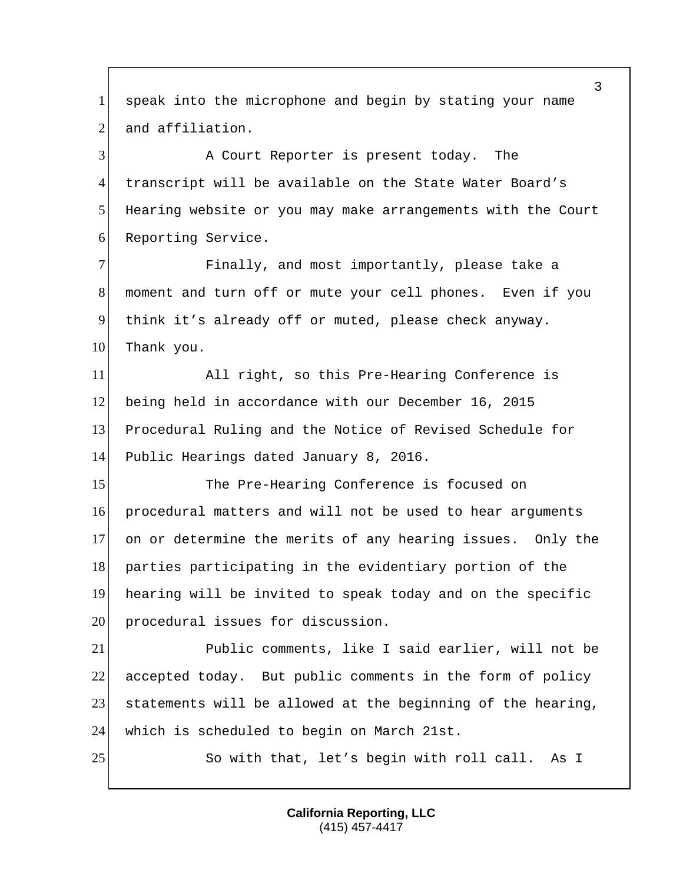1 speak into the microphone and begin by stating your name 2 and affiliation.

3 A Court Reporter is present today. The 4 transcript will be available on the State Water Board's 5 Hearing website or you may make arrangements with the Court 6 Reporting Service.

 Finally, and most importantly, please take a moment and turn off or mute your cell phones. Even if you think it's already off or muted, please check anyway. 10 Thank you.

11 All right, so this Pre-Hearing Conference is 12 being held in accordance with our December 16, 2015 13 Procedural Ruling and the Notice of Revised Schedule for 14 Public Hearings dated January 8, 2016.

15 The Pre-Hearing Conference is focused on 16 procedural matters and will not be used to hear arguments 17 on or determine the merits of any hearing issues. Only the 18 parties participating in the evidentiary portion of the 19 hearing will be invited to speak today and on the specific 20 procedural issues for discussion.

 Public comments, like I said earlier, will not be accepted today. But public comments in the form of policy 23 statements will be allowed at the beginning of the hearing, which is scheduled to begin on March 21st.

25 So with that, let's begin with roll call. As I

**California Reporting, LLC** (415) 457-4417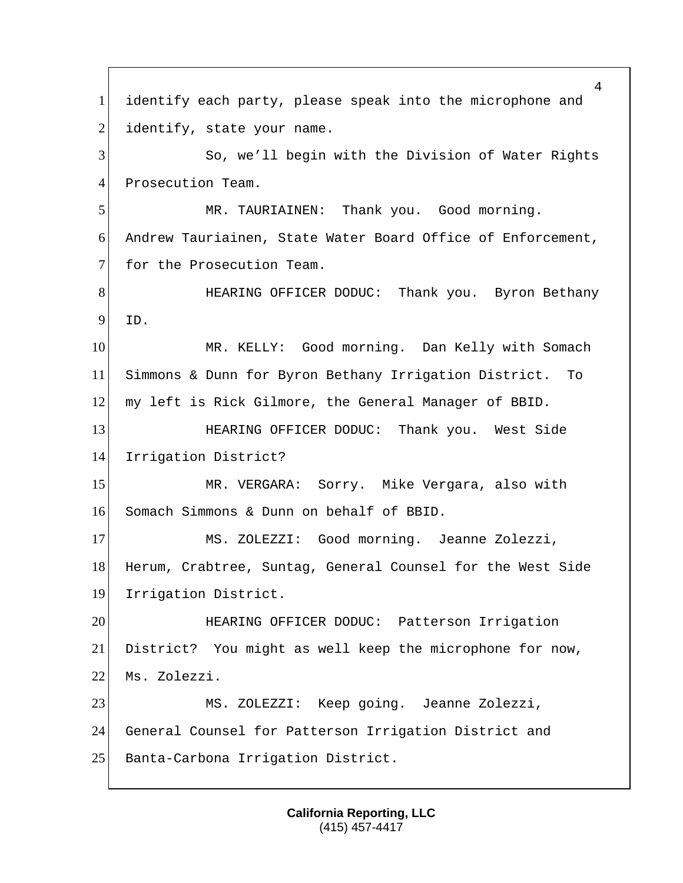identify each party, please speak into the microphone and identify, state your name. 3 So, we'll begin with the Division of Water Rights 4 Prosecution Team. MR. TAURIAINEN: Thank you. Good morning. 6 Andrew Tauriainen, State Water Board Office of Enforcement, 7 for the Prosecution Team. **HEARING OFFICER DODUC:** Thank you. Byron Bethany ID. 10 MR. KELLY: Good morning. Dan Kelly with Somach Simmons & Dunn for Byron Bethany Irrigation District. To my left is Rick Gilmore, the General Manager of BBID. HEARING OFFICER DODUC: Thank you. West Side 14 Irrigation District? MR. VERGARA: Sorry. Mike Vergara, also with Somach Simmons & Dunn on behalf of BBID. MS. ZOLEZZI: Good morning. Jeanne Zolezzi, 18 Herum, Crabtree, Suntag, General Counsel for the West Side Irrigation District. HEARING OFFICER DODUC: Patterson Irrigation District? You might as well keep the microphone for now, 22 Ms. Zolezzi. MS. ZOLEZZI: Keep going. Jeanne Zolezzi, General Counsel for Patterson Irrigation District and 25 Banta-Carbona Irrigation District.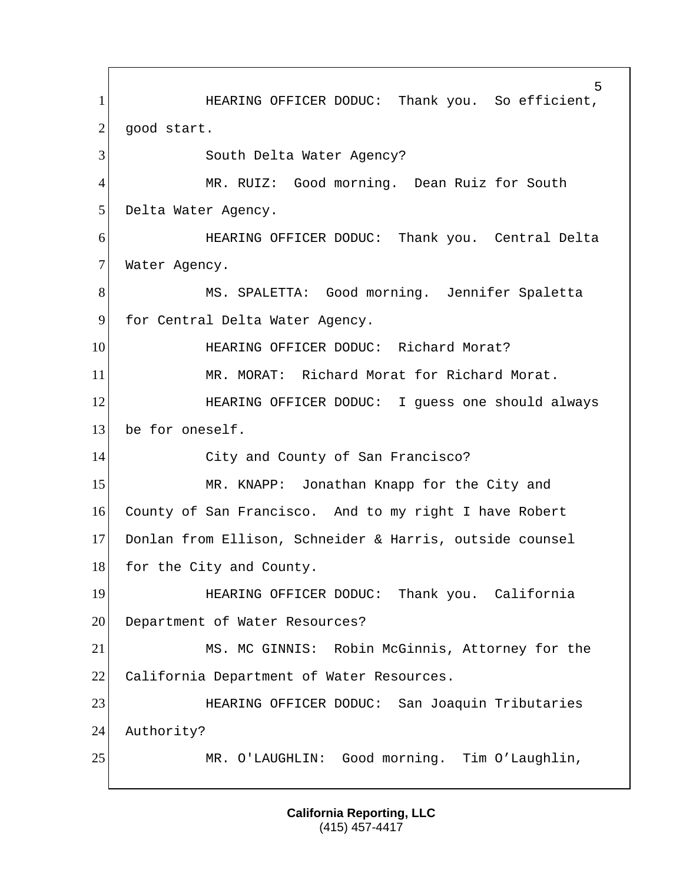5 1 **HEARING OFFICER DODUC:** Thank you. So efficient,  $2$  good start. 3 South Delta Water Agency? 4 MR. RUIZ: Good morning. Dean Ruiz for South 5 Delta Water Agency. 6 HEARING OFFICER DODUC: Thank you. Central Delta 7 Water Agency. 8 MS. SPALETTA: Good morning. Jennifer Spaletta 9 for Central Delta Water Agency. 10 **HEARING OFFICER DODUC:** Richard Morat? 11 MR. MORAT: Richard Morat for Richard Morat. 12 **HEARING OFFICER DODUC:** I guess one should always 13 be for oneself. 14 City and County of San Francisco? 15 MR. KNAPP: Jonathan Knapp for the City and 16 County of San Francisco. And to my right I have Robert 17 Donlan from Ellison, Schneider & Harris, outside counsel 18 for the City and County. 19 HEARING OFFICER DODUC: Thank you. California 20 Department of Water Resources? 21 MS. MC GINNIS: Robin McGinnis, Attorney for the 22 California Department of Water Resources. 23 HEARING OFFICER DODUC: San Joaquin Tributaries 24 Authority? 25 MR. O'LAUGHLIN: Good morning. Tim O'Laughlin,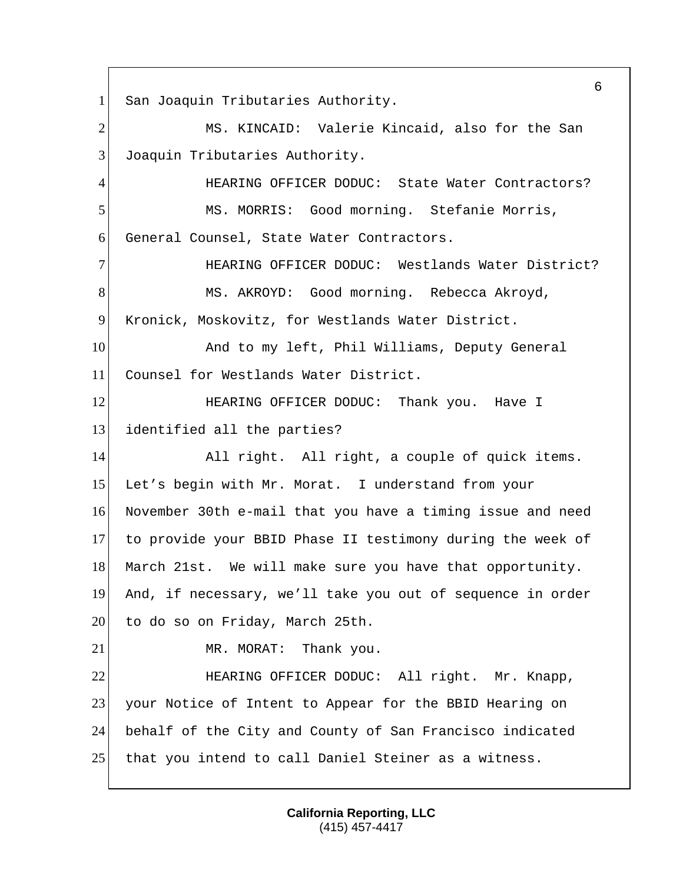1 San Joaquin Tributaries Authority. 2 MS. KINCAID: Valerie Kincaid, also for the San 3 Joaquin Tributaries Authority. 4 **HEARING OFFICER DODUC:** State Water Contractors? 5 MS. MORRIS: Good morning. Stefanie Morris, 6 General Counsel, State Water Contractors. 7 HEARING OFFICER DODUC: Westlands Water District? 8 MS. AKROYD: Good morning. Rebecca Akroyd, 9 Kronick, Moskovitz, for Westlands Water District. 10 And to my left, Phil Williams, Deputy General 11 Counsel for Westlands Water District. 12 **HEARING OFFICER DODUC:** Thank you. Have I 13 identified all the parties? 14 All right. All right, a couple of quick items. 15 Let's begin with Mr. Morat. I understand from your 16 November 30th e-mail that you have a timing issue and need 17 to provide your BBID Phase II testimony during the week of 18 March 21st. We will make sure you have that opportunity. 19 And, if necessary, we'll take you out of sequence in order 20 to do so on Friday, March 25th. 21 MR. MORAT: Thank you. 22 **HEARING OFFICER DODUC:** All right. Mr. Knapp, 23 your Notice of Intent to Appear for the BBID Hearing on 24 behalf of the City and County of San Francisco indicated 25 that you intend to call Daniel Steiner as a witness.

> **California Reporting, LLC** (415) 457-4417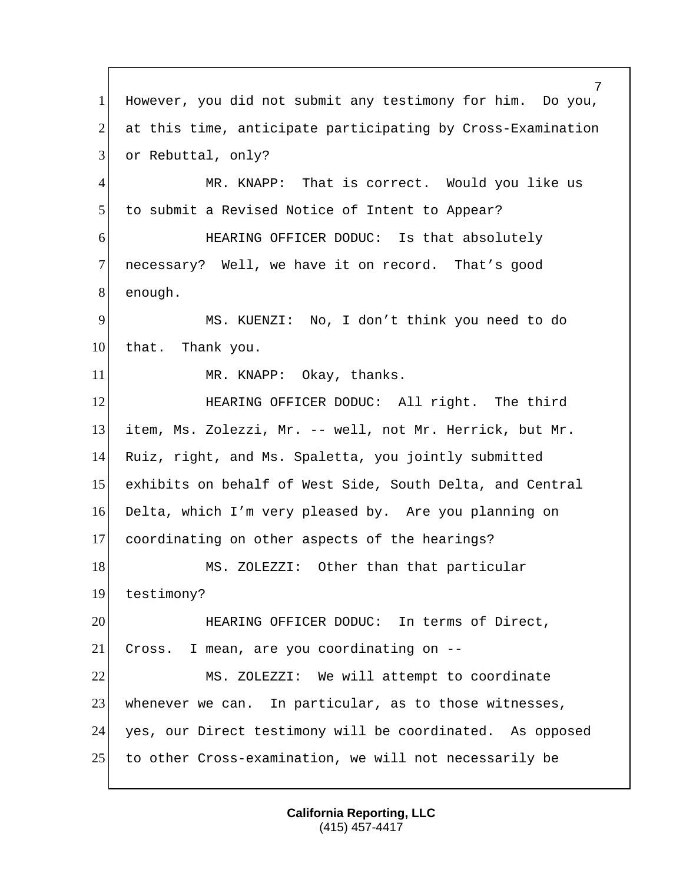7 1 However, you did not submit any testimony for him. Do you, 2 at this time, anticipate participating by Cross-Examination 3 or Rebuttal, only? 4 MR. KNAPP: That is correct. Would you like us 5 to submit a Revised Notice of Intent to Appear? 6 HEARING OFFICER DODUC: Is that absolutely 7 necessary? Well, we have it on record. That's good 8 enough. 9 MS. KUENZI: No, I don't think you need to do 10 that. Thank you. 11 MR. KNAPP: Okay, thanks. 12 **HEARING OFFICER DODUC:** All right. The third 13 item, Ms. Zolezzi, Mr. -- well, not Mr. Herrick, but Mr. 14 Ruiz, right, and Ms. Spaletta, you jointly submitted 15 exhibits on behalf of West Side, South Delta, and Central 16 Delta, which I'm very pleased by. Are you planning on 17 coordinating on other aspects of the hearings? 18 MS. ZOLEZZI: Other than that particular 19 testimony? 20 **HEARING OFFICER DODUC:** In terms of Direct, 21 Cross. I mean, are you coordinating on --22 MS. ZOLEZZI: We will attempt to coordinate 23 whenever we can. In particular, as to those witnesses, 24 yes, our Direct testimony will be coordinated. As opposed 25 to other Cross-examination, we will not necessarily be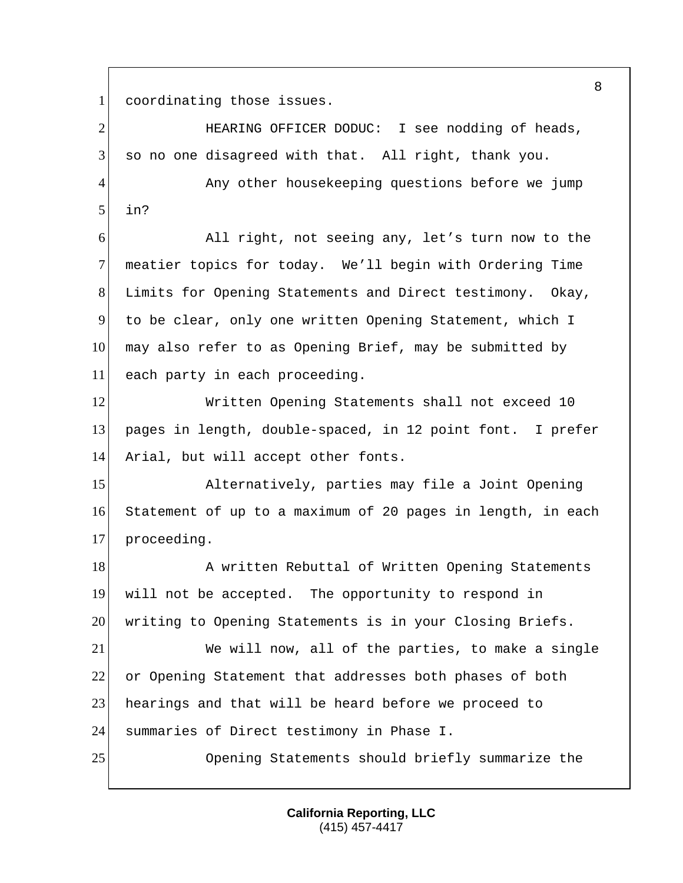coordinating those issues.

| $\overline{2}$ | HEARING OFFICER DODUC: I see nodding of heads,              |
|----------------|-------------------------------------------------------------|
| 3              | so no one disagreed with that. All right, thank you.        |
| $\overline{4}$ | Any other housekeeping questions before we jump             |
| 5              | in?                                                         |
| 6              | All right, not seeing any, let's turn now to the            |
| $\tau$         | meatier topics for today. We'll begin with Ordering Time    |
| 8              | Limits for Opening Statements and Direct testimony. Okay,   |
| 9              | to be clear, only one written Opening Statement, which I    |
| 10             | may also refer to as Opening Brief, may be submitted by     |
| 11             | each party in each proceeding.                              |
| 12             | Written Opening Statements shall not exceed 10              |
| 13             | pages in length, double-spaced, in 12 point font. I prefer  |
| 14             | Arial, but will accept other fonts.                         |
| 15             | Alternatively, parties may file a Joint Opening             |
| 16             | Statement of up to a maximum of 20 pages in length, in each |
| 17             | proceeding.                                                 |
| 18             | A written Rebuttal of Written Opening Statements            |
| 19             | will not be accepted. The opportunity to respond in         |
| 20             | writing to Opening Statements is in your Closing Briefs.    |
| 21             | We will now, all of the parties, to make a single           |
| 22             | or Opening Statement that addresses both phases of both     |
| 23             | hearings and that will be heard before we proceed to        |
| 24             | summaries of Direct testimony in Phase I.                   |
| 25             | Opening Statements should briefly summarize the             |
|                |                                                             |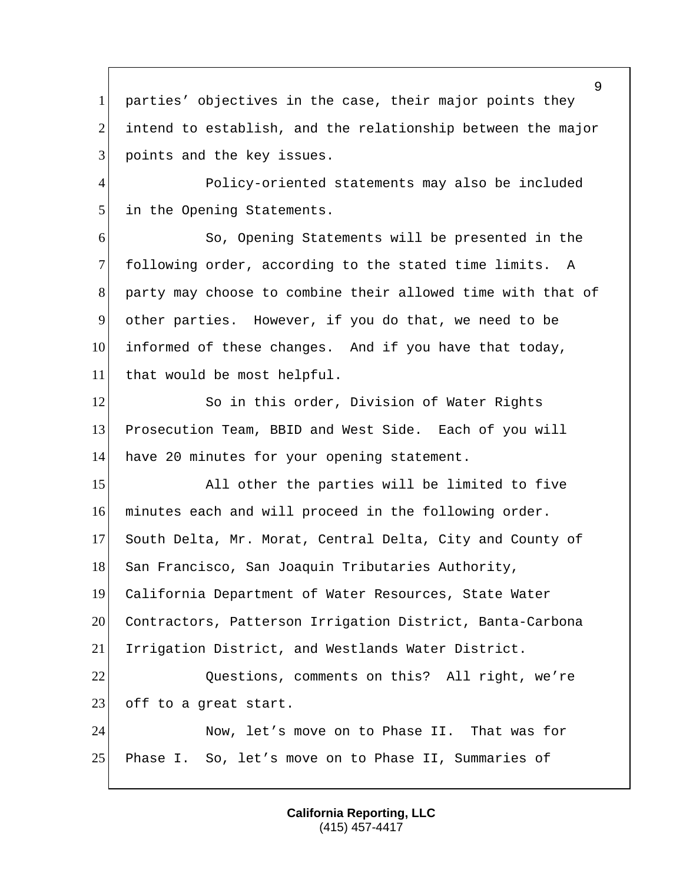parties' objectives in the case, their major points they 2 intend to establish, and the relationship between the major 3 points and the key issues.

 Policy-oriented statements may also be included 5 in the Opening Statements.

 So, Opening Statements will be presented in the following order, according to the stated time limits. A party may choose to combine their allowed time with that of other parties. However, if you do that, we need to be informed of these changes. And if you have that today, that would be most helpful.

12 So in this order, Division of Water Rights Prosecution Team, BBID and West Side. Each of you will 14 have 20 minutes for your opening statement.

15 All other the parties will be limited to five minutes each and will proceed in the following order. South Delta, Mr. Morat, Central Delta, City and County of 18 San Francisco, San Joaquin Tributaries Authority, California Department of Water Resources, State Water Contractors, Patterson Irrigation District, Banta-Carbona Irrigation District, and Westlands Water District. 22 Questions, comments on this? All right, we're 23 off to a great start.

 Now, let's move on to Phase II. That was for Phase I. So, let's move on to Phase II, Summaries of

> **California Reporting, LLC** (415) 457-4417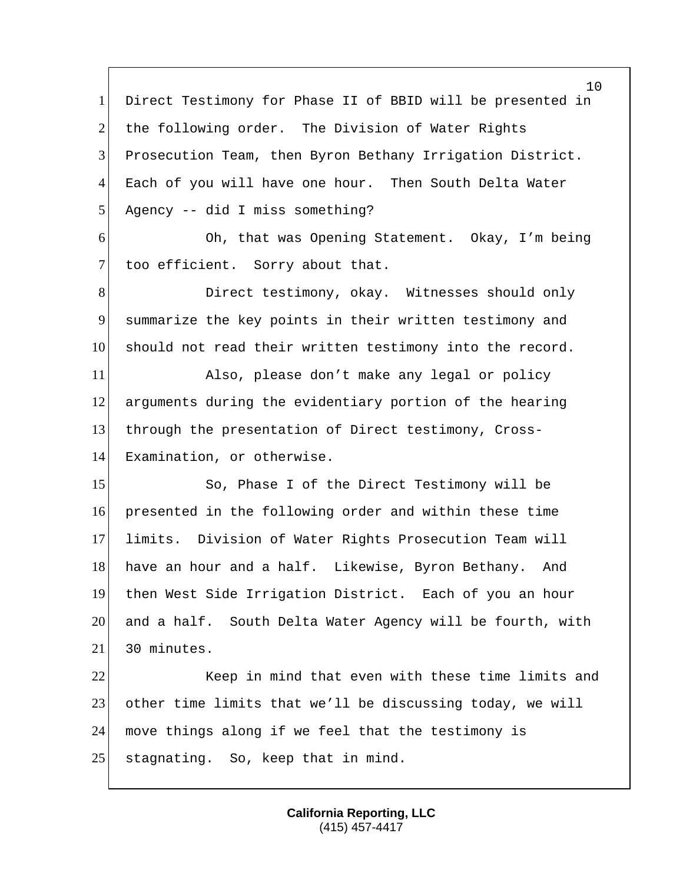Direct Testimony for Phase II of BBID will be presented in 2 the following order. The Division of Water Rights Prosecution Team, then Byron Bethany Irrigation District. Each of you will have one hour. Then South Delta Water Agency -- did I miss something? Oh, that was Opening Statement. Okay, I'm being 7 too efficient. Sorry about that. 8 Direct testimony, okay. Witnesses should only summarize the key points in their written testimony and 10 should not read their written testimony into the record. Also, please don't make any legal or policy arguments during the evidentiary portion of the hearing through the presentation of Direct testimony, Cross- Examination, or otherwise. 15 So, Phase I of the Direct Testimony will be presented in the following order and within these time limits. Division of Water Rights Prosecution Team will 18 have an hour and a half. Likewise, Byron Bethany. And then West Side Irrigation District. Each of you an hour and a half. South Delta Water Agency will be fourth, with 21 30 minutes. 22 Keep in mind that even with these time limits and other time limits that we'll be discussing today, we will move things along if we feel that the testimony is 25 stagnating. So, keep that in mind.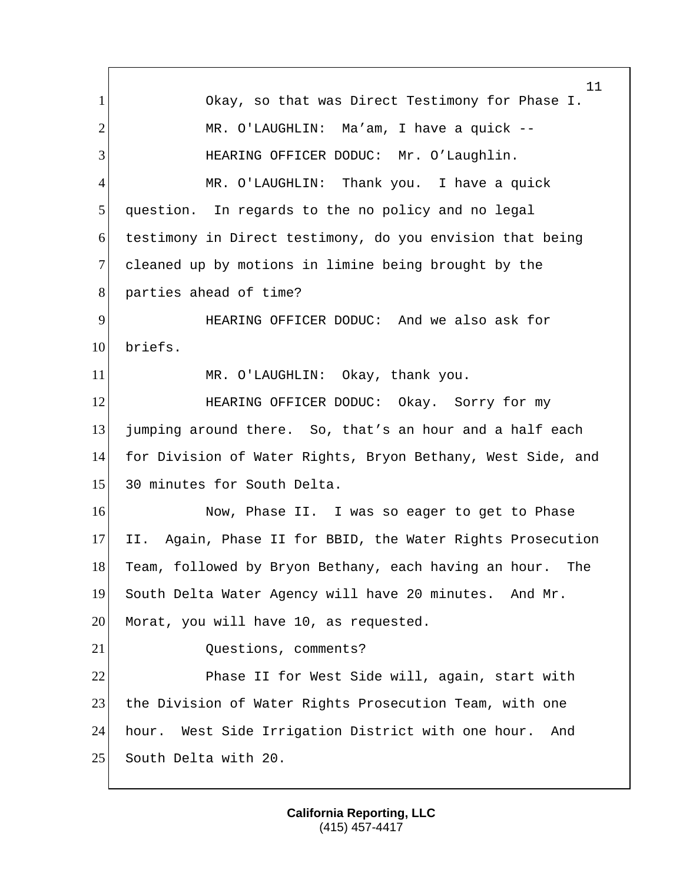11 1 Okay, so that was Direct Testimony for Phase I. 2 MR. O'LAUGHLIN: Ma'am, I have a quick --3 HEARING OFFICER DODUC: Mr. O'Laughlin. 4 MR. O'LAUGHLIN: Thank you. I have a quick 5 question. In regards to the no policy and no legal 6 testimony in Direct testimony, do you envision that being 7 cleaned up by motions in limine being brought by the 8 parties ahead of time? 9 HEARING OFFICER DODUC: And we also ask for 10 briefs. 11 MR. O'LAUGHLIN: Okay, thank you. 12 **HEARING OFFICER DODUC:** Okay. Sorry for my 13 jumping around there. So, that's an hour and a half each 14 for Division of Water Rights, Bryon Bethany, West Side, and 15 30 minutes for South Delta. 16 Now, Phase II. I was so eager to get to Phase 17 II. Again, Phase II for BBID, the Water Rights Prosecution 18 Team, followed by Bryon Bethany, each having an hour. The 19 South Delta Water Agency will have 20 minutes. And Mr. 20 Morat, you will have 10, as requested. 21 Questions, comments? 22 Phase II for West Side will, again, start with 23 the Division of Water Rights Prosecution Team, with one 24 hour. West Side Irrigation District with one hour. And 25 South Delta with 20.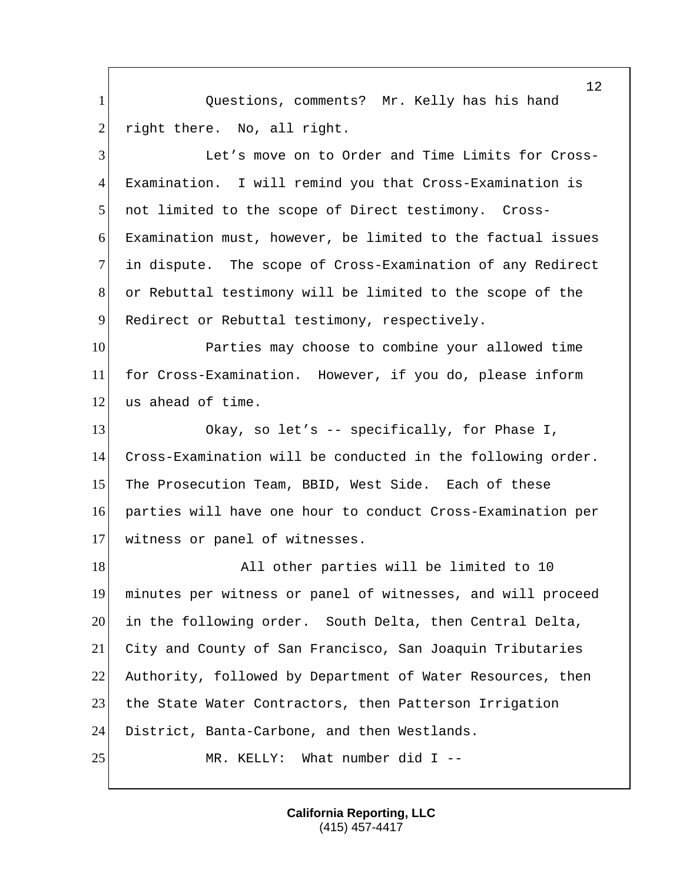Questions, comments? Mr. Kelly has his hand 2 right there. No, all right.

 Let's move on to Order and Time Limits for Cross- Examination. I will remind you that Cross-Examination is not limited to the scope of Direct testimony. Cross- Examination must, however, be limited to the factual issues in dispute. The scope of Cross-Examination of any Redirect or Rebuttal testimony will be limited to the scope of the 9 Redirect or Rebuttal testimony, respectively.

 Parties may choose to combine your allowed time for Cross-Examination. However, if you do, please inform 12 us ahead of time.

 Okay, so let's -- specifically, for Phase I, Cross-Examination will be conducted in the following order. The Prosecution Team, BBID, West Side. Each of these parties will have one hour to conduct Cross-Examination per witness or panel of witnesses.

18 All other parties will be limited to 10 minutes per witness or panel of witnesses, and will proceed in the following order. South Delta, then Central Delta, City and County of San Francisco, San Joaquin Tributaries Authority, followed by Department of Water Resources, then 23 the State Water Contractors, then Patterson Irrigation District, Banta-Carbone, and then Westlands. 25 MR. KELLY: What number did I --

> **California Reporting, LLC** (415) 457-4417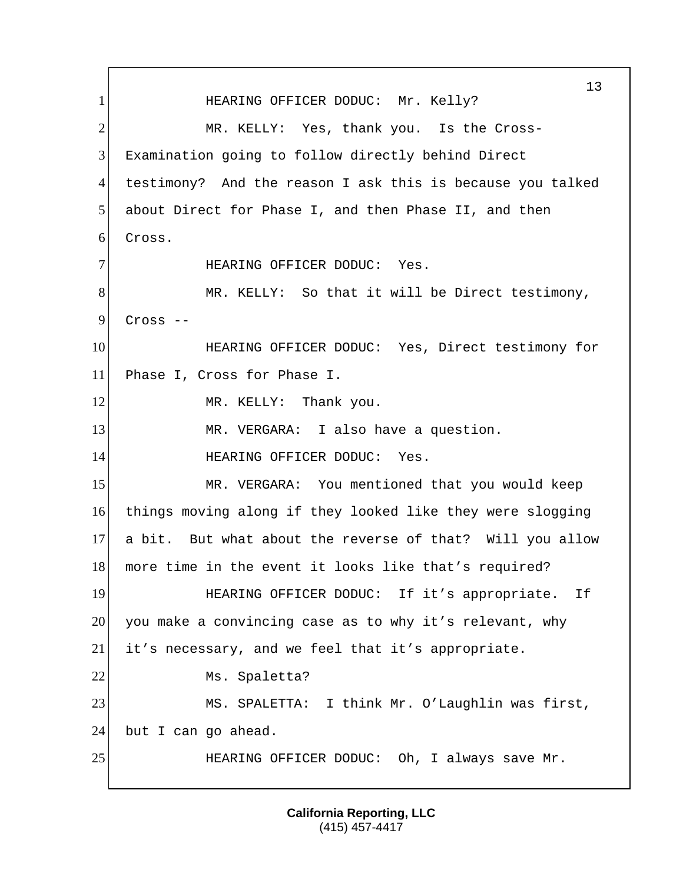13 1 HEARING OFFICER DODUC: Mr. Kelly? 2 MR. KELLY: Yes, thank you. Is the Cross-3 Examination going to follow directly behind Direct 4 testimony? And the reason I ask this is because you talked 5 about Direct for Phase I, and then Phase II, and then 6 Cross. 7 HEARING OFFICER DODUC: Yes. 8 MR. KELLY: So that it will be Direct testimony,  $9$  Cross  $-$ 10 **HEARING OFFICER DODUC:** Yes, Direct testimony for 11 Phase I, Cross for Phase I. 12 MR. KELLY: Thank you. 13 MR. VERGARA: I also have a question. 14 HEARING OFFICER DODUC: Yes. 15 MR. VERGARA: You mentioned that you would keep 16 things moving along if they looked like they were slogging 17 a bit. But what about the reverse of that? Will you allow 18 more time in the event it looks like that's required? 19 HEARING OFFICER DODUC: If it's appropriate. If 20 you make a convincing case as to why it's relevant, why 21 it's necessary, and we feel that it's appropriate. 22 Ms. Spaletta? 23 MS. SPALETTA: I think Mr. O'Laughlin was first, 24 but I can go ahead. 25 HEARING OFFICER DODUC: Oh, I always save Mr.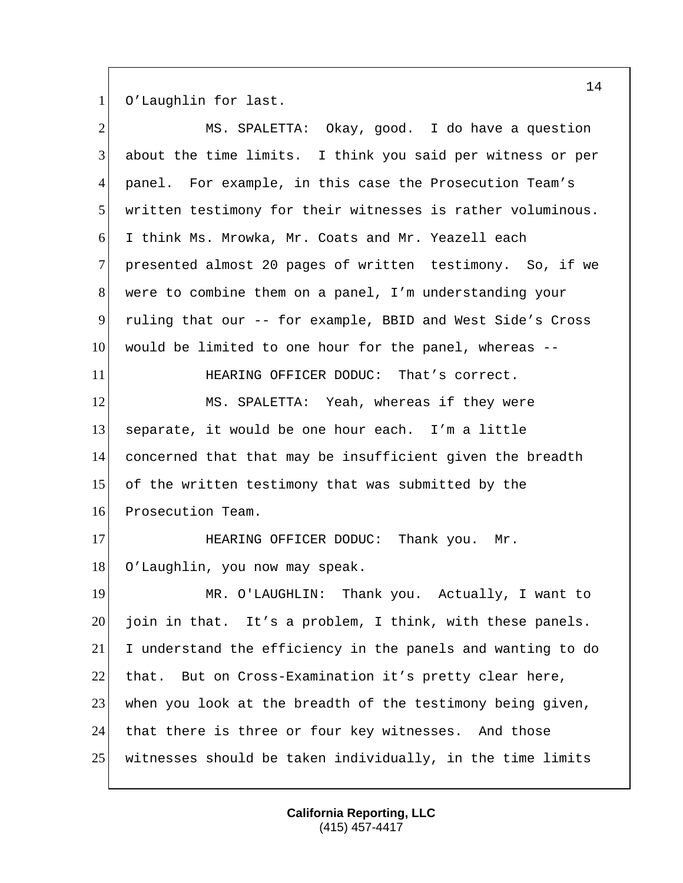O'Laughlin for last.

| $\overline{2}$ | MS. SPALETTA: Okay, good. I do have a question              |
|----------------|-------------------------------------------------------------|
| 3              | about the time limits. I think you said per witness or per  |
| 4              | panel. For example, in this case the Prosecution Team's     |
| 5 <sup>1</sup> | written testimony for their witnesses is rather voluminous. |
| 6 <sup>1</sup> | I think Ms. Mrowka, Mr. Coats and Mr. Yeazell each          |
| $\tau$         | presented almost 20 pages of written testimony. So, if we   |
| 8              | were to combine them on a panel, I'm understanding your     |
| 9              | ruling that our -- for example, BBID and West Side's Cross  |
| 10             | would be limited to one hour for the panel, whereas --      |
| 11             | HEARING OFFICER DODUC: That's correct.                      |
| 12             | MS. SPALETTA: Yeah, whereas if they were                    |
| 13             | separate, it would be one hour each. I'm a little           |
| 14             | concerned that that may be insufficient given the breadth   |
| 15             | of the written testimony that was submitted by the          |
| 16             | Prosecution Team.                                           |
| 17             | HEARING OFFICER DODUC: Thank you. Mr.                       |
| 18             | O'Laughlin, you now may speak.                              |
| 19             | MR. O'LAUGHLIN: Thank you. Actually, I want to              |
| 20             | join in that. It's a problem, I think, with these panels.   |
| 21             | I understand the efficiency in the panels and wanting to do |
| 22             | But on Cross-Examination it's pretty clear here,<br>that.   |
| 23             | when you look at the breadth of the testimony being given,  |
| 24             | that there is three or four key witnesses. And those        |
| 25             | witnesses should be taken individually, in the time limits  |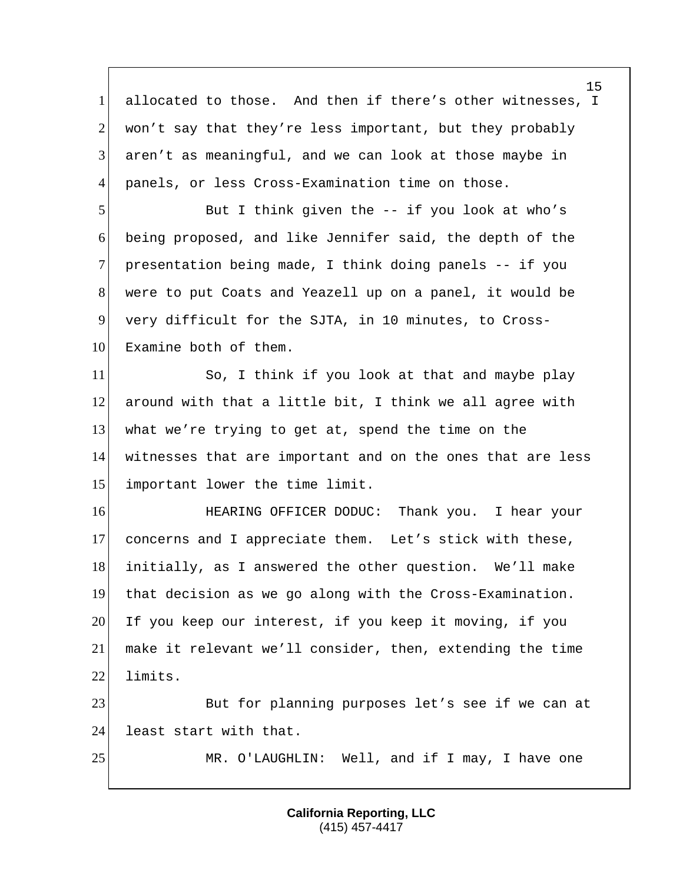1 allocated to those. And then if there's other witnesses, I 2 won't say that they're less important, but they probably 3 aren't as meaningful, and we can look at those maybe in 4 panels, or less Cross-Examination time on those. 5 But I think given the -- if you look at who's 6 being proposed, and like Jennifer said, the depth of the 7 presentation being made, I think doing panels -- if you 8 were to put Coats and Yeazell up on a panel, it would be 9 very difficult for the SJTA, in 10 minutes, to Cross-10 Examine both of them. 11 So, I think if you look at that and maybe play  $12$  around with that a little bit, I think we all agree with 13 what we're trying to get at, spend the time on the 14 witnesses that are important and on the ones that are less 15 important lower the time limit. 16 **HEARING OFFICER DODUC:** Thank you. I hear your 17 concerns and I appreciate them. Let's stick with these, 18 initially, as I answered the other question. We'll make 19 that decision as we go along with the Cross-Examination. 20 If you keep our interest, if you keep it moving, if you 21 make it relevant we'll consider, then, extending the time 22 limits. 23 But for planning purposes let's see if we can at 24 least start with that. 25 MR. O'LAUGHLIN: Well, and if I may, I have one

> **California Reporting, LLC** (415) 457-4417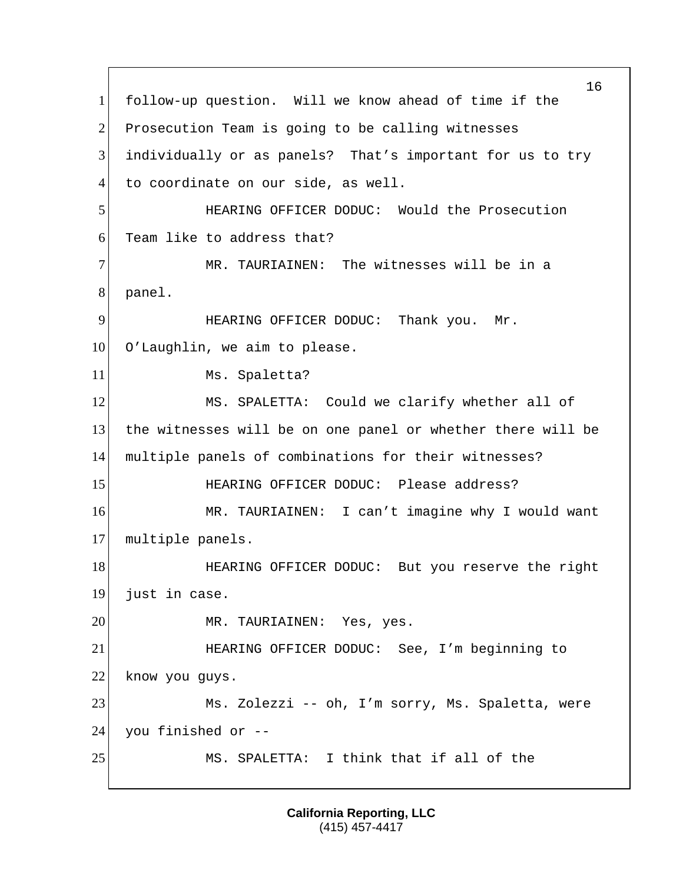16 1 follow-up question. Will we know ahead of time if the 2 Prosecution Team is going to be calling witnesses 3 individually or as panels? That's important for us to try 4 to coordinate on our side, as well. 5 HEARING OFFICER DODUC: Would the Prosecution 6 Team like to address that? 7 MR. TAURIAINEN: The witnesses will be in a 8 panel. 9 HEARING OFFICER DODUC: Thank you. Mr. 10 O'Laughlin, we aim to please. 11 Ms. Spaletta? 12 MS. SPALETTA: Could we clarify whether all of 13 the witnesses will be on one panel or whether there will be 14 multiple panels of combinations for their witnesses? 15 HEARING OFFICER DODUC: Please address? 16 MR. TAURIAINEN: I can't imagine why I would want 17 multiple panels. 18 HEARING OFFICER DODUC: But you reserve the right 19 just in case. 20 MR. TAURIAINEN: Yes, yes. 21 HEARING OFFICER DODUC: See, I'm beginning to 22 know you guys. 23 Ms. Zolezzi -- oh, I'm sorry, Ms. Spaletta, were  $24$  you finished or  $-$ 25 MS. SPALETTA: I think that if all of the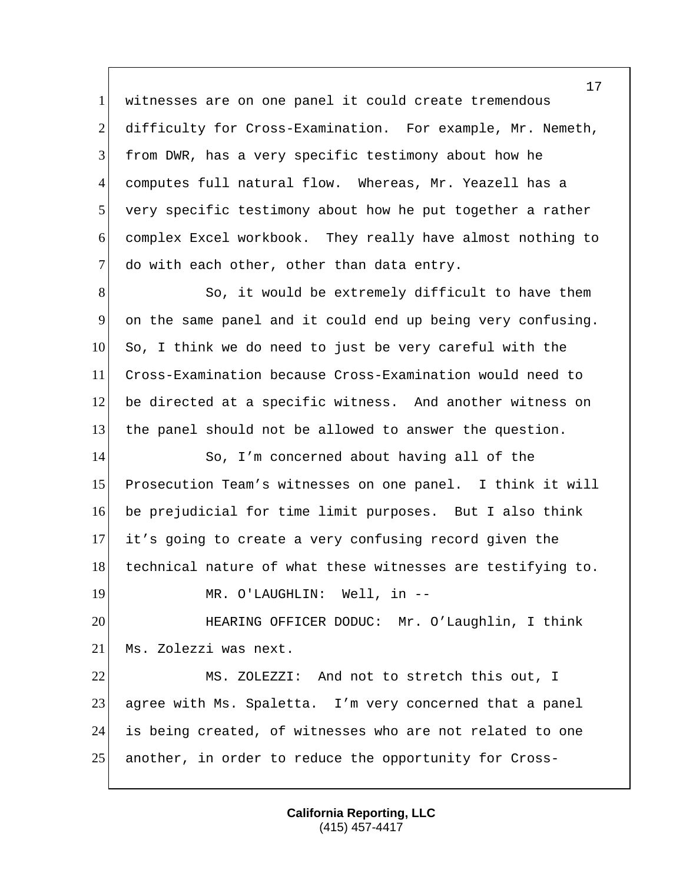witnesses are on one panel it could create tremendous 2 difficulty for Cross-Examination. For example, Mr. Nemeth, from DWR, has a very specific testimony about how he computes full natural flow. Whereas, Mr. Yeazell has a 5 very specific testimony about how he put together a rather complex Excel workbook. They really have almost nothing to 7 do with each other, other than data entry.

8 So, it would be extremely difficult to have them on the same panel and it could end up being very confusing. So, I think we do need to just be very careful with the Cross-Examination because Cross-Examination would need to be directed at a specific witness. And another witness on the panel should not be allowed to answer the question.

 So, I'm concerned about having all of the Prosecution Team's witnesses on one panel. I think it will be prejudicial for time limit purposes. But I also think it's going to create a very confusing record given the 18 technical nature of what these witnesses are testifying to.

19 MR. O'LAUGHLIN: Well, in --

 HEARING OFFICER DODUC: Mr. O'Laughlin, I think 21 Ms. Zolezzi was next.

 MS. ZOLEZZI: And not to stretch this out, I 23 agree with Ms. Spaletta. I'm very concerned that a panel is being created, of witnesses who are not related to one another, in order to reduce the opportunity for Cross-

> **California Reporting, LLC** (415) 457-4417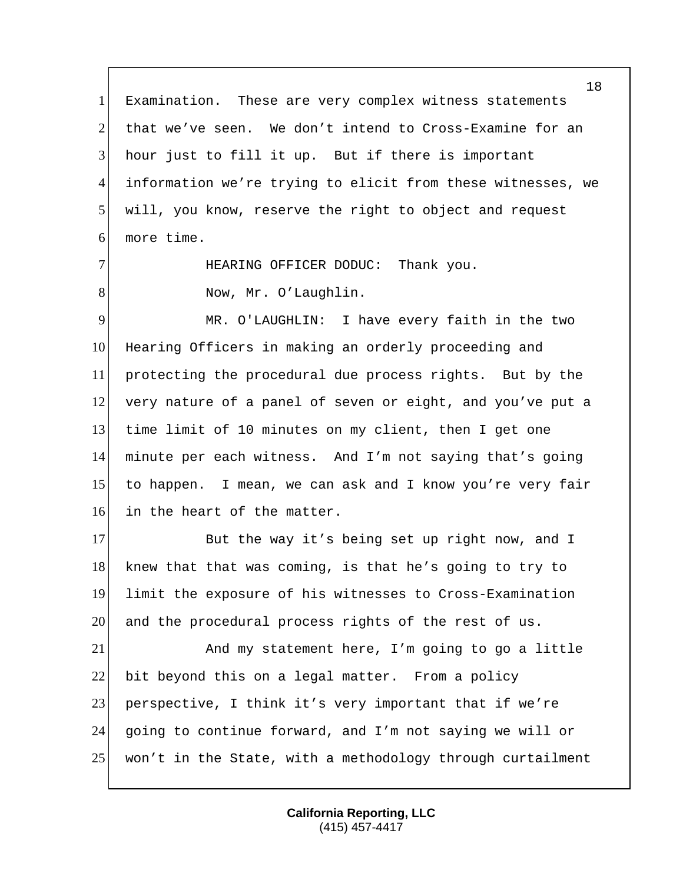1 Examination. These are very complex witness statements that we've seen. We don't intend to Cross-Examine for an hour just to fill it up. But if there is important information we're trying to elicit from these witnesses, we will, you know, reserve the right to object and request more time. 7 HEARING OFFICER DODUC: Thank you. 8 Now, Mr. O'Laughlin. MR. O'LAUGHLIN: I have every faith in the two Hearing Officers in making an orderly proceeding and protecting the procedural due process rights. But by the very nature of a panel of seven or eight, and you've put a time limit of 10 minutes on my client, then I get one minute per each witness. And I'm not saying that's going to happen. I mean, we can ask and I know you're very fair 16 in the heart of the matter. 17 But the way it's being set up right now, and I 18 knew that that was coming, is that he's going to try to limit the exposure of his witnesses to Cross-Examination 20 and the procedural process rights of the rest of us. And my statement here, I'm going to go a little 22 bit beyond this on a legal matter. From a policy 23 perspective, I think it's very important that if we're going to continue forward, and I'm not saying we will or won't in the State, with a methodology through curtailment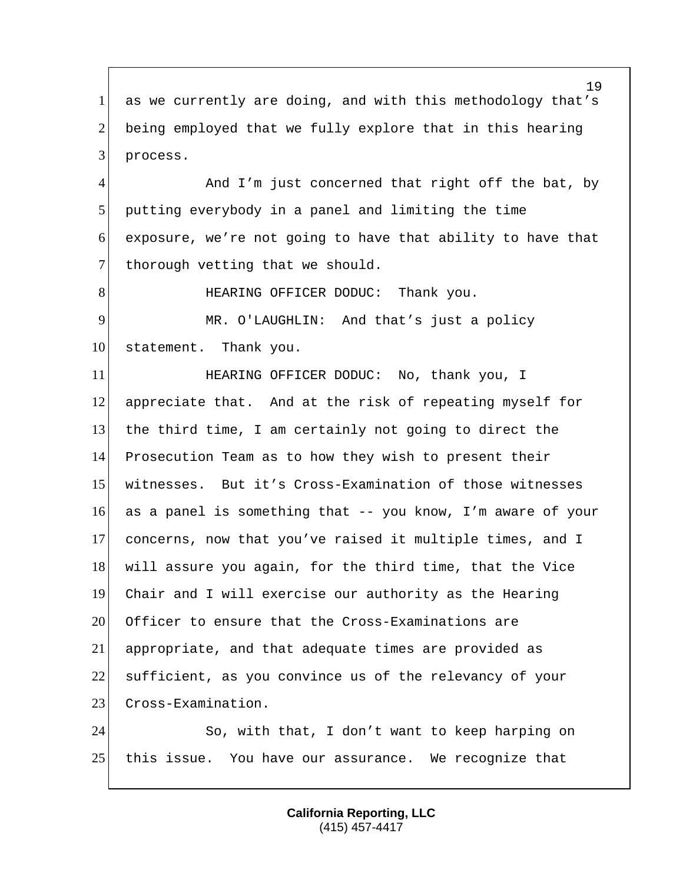1 as we currently are doing, and with this methodology that's 2 being employed that we fully explore that in this hearing 3 process.

4 And I'm just concerned that right off the bat, by 5 putting everybody in a panel and limiting the time  $6$  exposure, we're not going to have that ability to have that 7 thorough vetting that we should.

8 HEARING OFFICER DODUC: Thank you.

9 MR. O'LAUGHLIN: And that's just a policy 10 statement. Thank you.

**HEARING OFFICER DODUC:** No, thank you, I appreciate that. And at the risk of repeating myself for the third time, I am certainly not going to direct the Prosecution Team as to how they wish to present their witnesses. But it's Cross-Examination of those witnesses as a panel is something that -- you know, I'm aware of your concerns, now that you've raised it multiple times, and I will assure you again, for the third time, that the Vice Chair and I will exercise our authority as the Hearing 20 Officer to ensure that the Cross-Examinations are appropriate, and that adequate times are provided as 22 sufficient, as you convince us of the relevancy of your 23 Cross-Examination.

24 So, with that, I don't want to keep harping on 25 this issue. You have our assurance. We recognize that

> **California Reporting, LLC** (415) 457-4417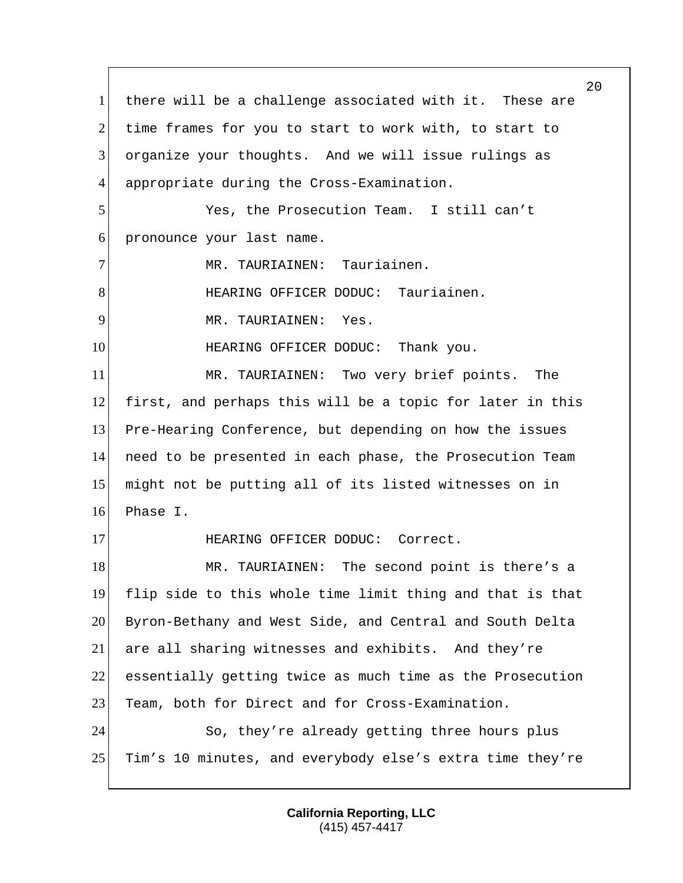there will be a challenge associated with it. These are 2 time frames for you to start to work with, to start to organize your thoughts. And we will issue rulings as appropriate during the Cross-Examination. Yes, the Prosecution Team. I still can't pronounce your last name. 7 MR. TAURIAINEN: Tauriainen. 8 HEARING OFFICER DODUC: Tauriainen. 9 MR. TAURIAINEN: Yes. 10 HEARING OFFICER DODUC: Thank you. MR. TAURIAINEN: Two very brief points. The first, and perhaps this will be a topic for later in this Pre-Hearing Conference, but depending on how the issues need to be presented in each phase, the Prosecution Team might not be putting all of its listed witnesses on in Phase I. 17 HEARING OFFICER DODUC: Correct. 18 MR. TAURIAINEN: The second point is there's a flip side to this whole time limit thing and that is that Byron-Bethany and West Side, and Central and South Delta are all sharing witnesses and exhibits. And they're essentially getting twice as much time as the Prosecution 23 Team, both for Direct and for Cross-Examination. 24 So, they're already getting three hours plus Tim's 10 minutes, and everybody else's extra time they're

> **California Reporting, LLC** (415) 457-4417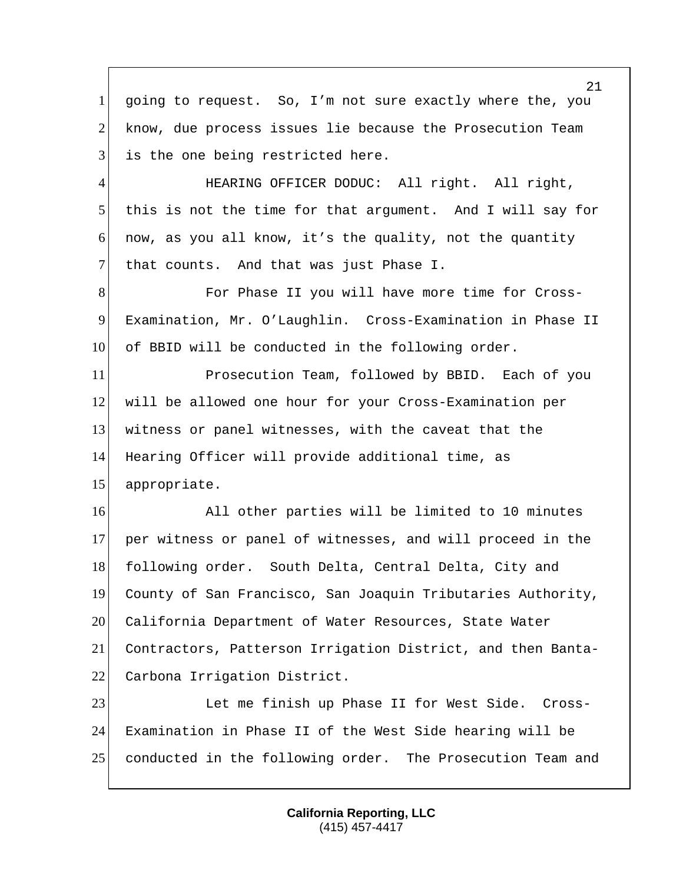1 going to request. So, I'm not sure exactly where the, you 2 know, due process issues lie because the Prosecution Team 3 is the one being restricted here. 4 HEARING OFFICER DODUC: All right. All right, 5 this is not the time for that argument. And I will say for 6 now, as you all know, it's the quality, not the quantity 7 that counts. And that was just Phase I. 8 For Phase II you will have more time for Cross-9 Examination, Mr. O'Laughlin. Cross-Examination in Phase II 10 of BBID will be conducted in the following order. 11 Prosecution Team, followed by BBID. Each of you 12 will be allowed one hour for your Cross-Examination per 13 witness or panel witnesses, with the caveat that the 14 Hearing Officer will provide additional time, as 15 appropriate. 16 All other parties will be limited to 10 minutes 17 per witness or panel of witnesses, and will proceed in the 18 following order. South Delta, Central Delta, City and 19 County of San Francisco, San Joaquin Tributaries Authority, 20 California Department of Water Resources, State Water 21 Contractors, Patterson Irrigation District, and then Banta-22 Carbona Irrigation District. 23 Let me finish up Phase II for West Side. Cross-24 Examination in Phase II of the West Side hearing will be 25 conducted in the following order. The Prosecution Team and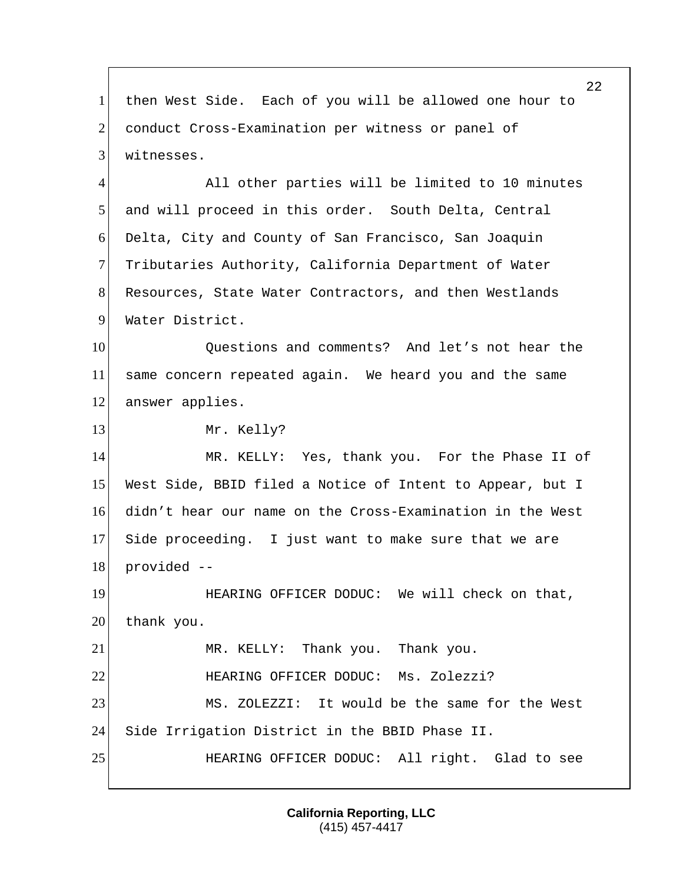1 then West Side. Each of you will be allowed one hour to 2 conduct Cross-Examination per witness or panel of 3 witnesses.

4 All other parties will be limited to 10 minutes 5 and will proceed in this order. South Delta, Central 6 Delta, City and County of San Francisco, San Joaquin 7 Tributaries Authority, California Department of Water 8 Resources, State Water Contractors, and then Westlands 9 Water District.

10 Ouestions and comments? And let's not hear the 11 same concern repeated again. We heard you and the same 12 answer applies.

13 Mr. Kelly?

 MR. KELLY: Yes, thank you. For the Phase II of West Side, BBID filed a Notice of Intent to Appear, but I didn't hear our name on the Cross-Examination in the West Side proceeding. I just want to make sure that we are provided --

19 **HEARING OFFICER DODUC:** We will check on that, 20 thank you. 21 MR. KELLY: Thank you. Thank you. 22 **HEARING OFFICER DODUC:** Ms. Zolezzi? 23 MS. ZOLEZZI: It would be the same for the West 24 Side Irrigation District in the BBID Phase II. 25 HEARING OFFICER DODUC: All right. Glad to see

> **California Reporting, LLC** (415) 457-4417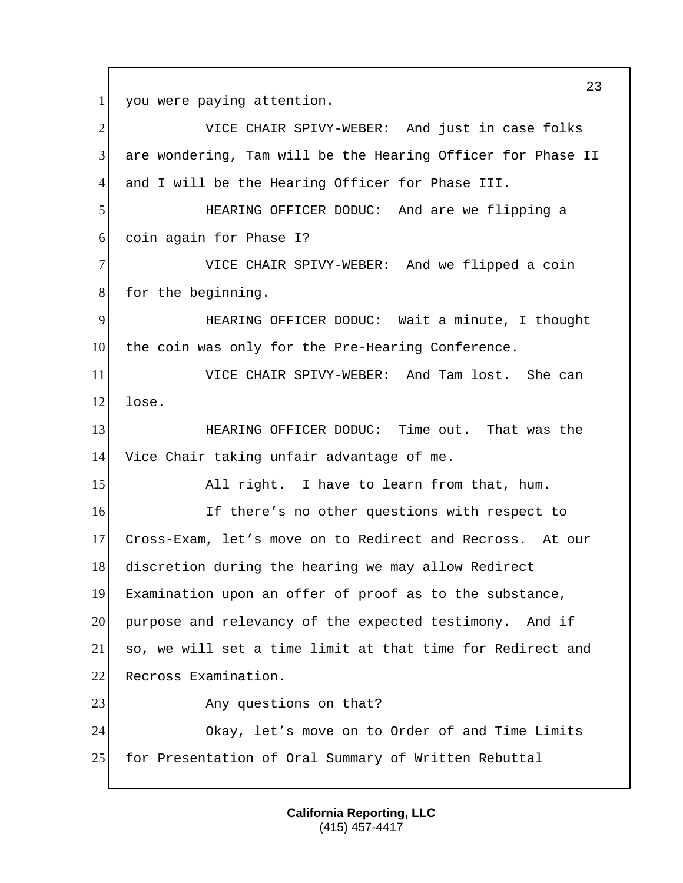1 you were paying attention.

2 VICE CHAIR SPIVY-WEBER: And just in case folks are wondering, Tam will be the Hearing Officer for Phase II and I will be the Hearing Officer for Phase III. HEARING OFFICER DODUC: And are we flipping a coin again for Phase I? VICE CHAIR SPIVY-WEBER: And we flipped a coin 8 for the beginning. HEARING OFFICER DODUC: Wait a minute, I thought 10 the coin was only for the Pre-Hearing Conference. VICE CHAIR SPIVY-WEBER: And Tam lost. She can lose. HEARING OFFICER DODUC: Time out. That was the Vice Chair taking unfair advantage of me. 15 All right. I have to learn from that, hum. **If there's no other questions with respect to**  Cross-Exam, let's move on to Redirect and Recross. At our 18 discretion during the hearing we may allow Redirect Examination upon an offer of proof as to the substance, purpose and relevancy of the expected testimony. And if so, we will set a time limit at that time for Redirect and 22 Recross Examination. 23 Any questions on that? 24 Okay, let's move on to Order of and Time Limits for Presentation of Oral Summary of Written Rebuttal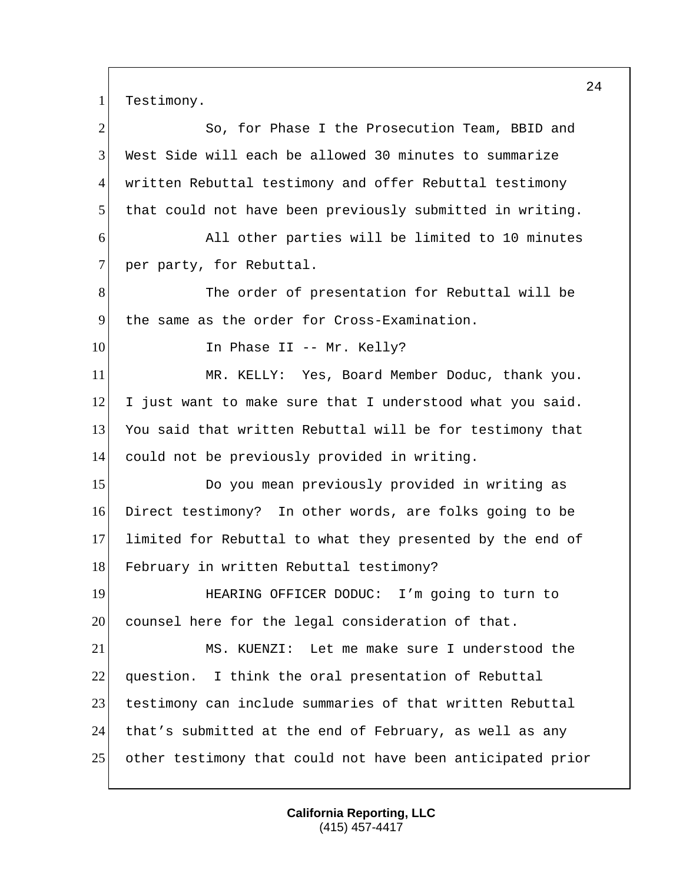1 Testimony.

| $\mathbf{2}$   | So, for Phase I the Prosecution Team, BBID and             |
|----------------|------------------------------------------------------------|
| 3              | West Side will each be allowed 30 minutes to summarize     |
| 4              | written Rebuttal testimony and offer Rebuttal testimony    |
| 5              | that could not have been previously submitted in writing.  |
| 6              | All other parties will be limited to 10 minutes            |
| $\overline{7}$ | per party, for Rebuttal.                                   |
| 8              | The order of presentation for Rebuttal will be             |
| 9              | the same as the order for Cross-Examination.               |
| 10             | In Phase II -- Mr. Kelly?                                  |
| 11             | MR. KELLY: Yes, Board Member Doduc, thank you.             |
| 12             | I just want to make sure that I understood what you said.  |
| 13             | You said that written Rebuttal will be for testimony that  |
| 14             | could not be previously provided in writing.               |
| 15             | Do you mean previously provided in writing as              |
| 16             | Direct testimony? In other words, are folks going to be    |
| 17             | limited for Rebuttal to what they presented by the end of  |
| 18             | February in written Rebuttal testimony?                    |
| 19             | HEARING OFFICER DODUC: I'm going to turn to                |
| 20             | counsel here for the legal consideration of that.          |
| 21             | MS. KUENZI: Let me make sure I understood the              |
| 22             | question. I think the oral presentation of Rebuttal        |
| 23             | testimony can include summaries of that written Rebuttal   |
| 24             | that's submitted at the end of February, as well as any    |
| 25             | other testimony that could not have been anticipated prior |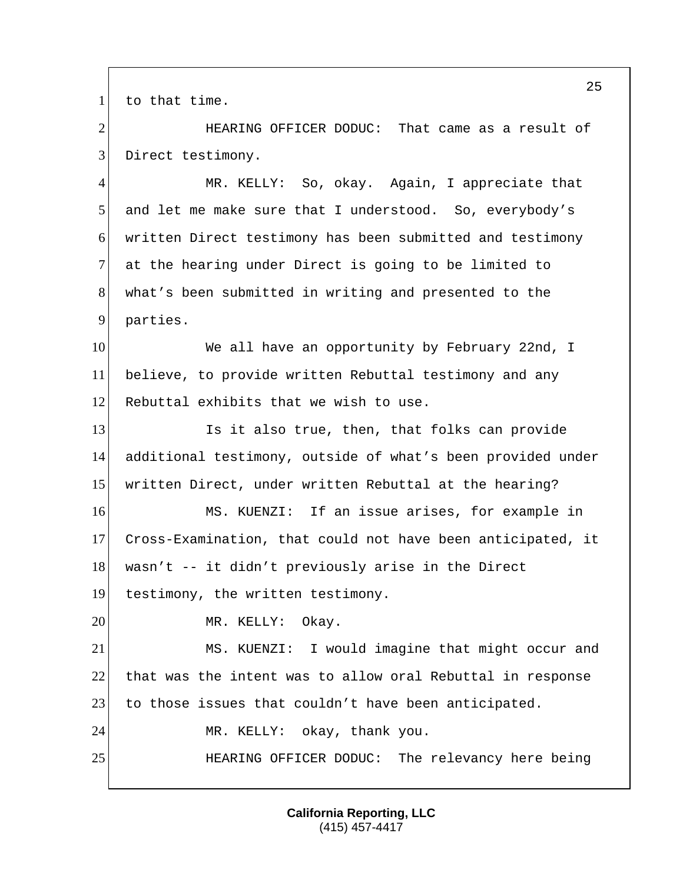1 to that time.

2 HEARING OFFICER DODUC: That came as a result of 3 Direct testimony.

 MR. KELLY: So, okay. Again, I appreciate that and let me make sure that I understood. So, everybody's written Direct testimony has been submitted and testimony 7 at the hearing under Direct is going to be limited to what's been submitted in writing and presented to the 9 parties.

10 We all have an opportunity by February 22nd, I 11 believe, to provide written Rebuttal testimony and any 12 Rebuttal exhibits that we wish to use.

13 Is it also true, then, that folks can provide 14 additional testimony, outside of what's been provided under 15 written Direct, under written Rebuttal at the hearing?

16 MS. KUENZI: If an issue arises, for example in 17 Cross-Examination, that could not have been anticipated, it 18 wasn't -- it didn't previously arise in the Direct

19 testimony, the written testimony.

20 MR. KELLY: Okay.

21 MS. KUENZI: I would imagine that might occur and 22 that was the intent was to allow oral Rebuttal in response 23 to those issues that couldn't have been anticipated.

24 MR. KELLY: okay, thank you.

25 HEARING OFFICER DODUC: The relevancy here being

**California Reporting, LLC** (415) 457-4417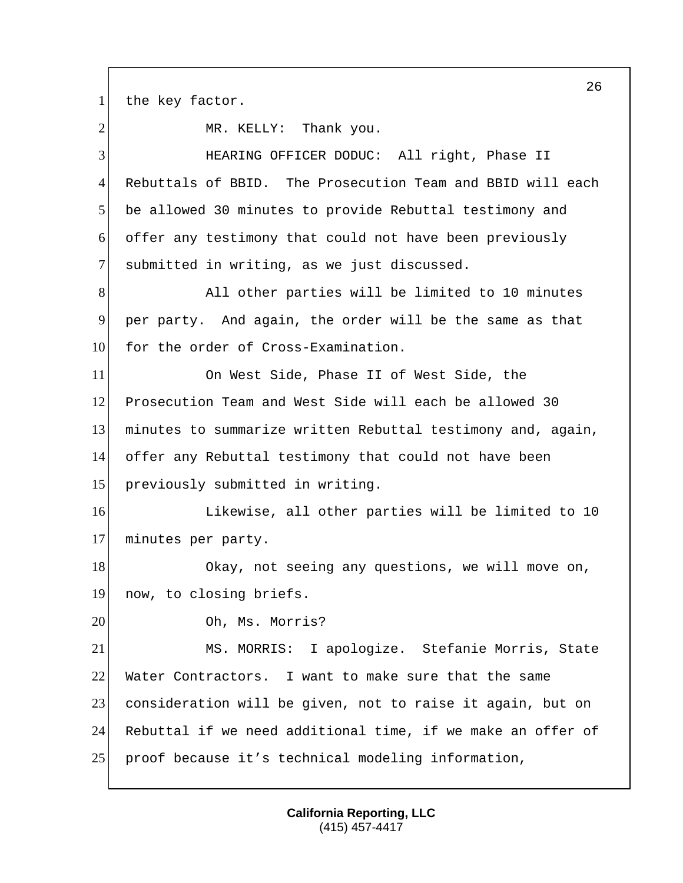1 the key factor.

2 MR. KELLY: Thank you. HEARING OFFICER DODUC: All right, Phase II Rebuttals of BBID. The Prosecution Team and BBID will each be allowed 30 minutes to provide Rebuttal testimony and offer any testimony that could not have been previously 7 submitted in writing, as we just discussed. 8 All other parties will be limited to 10 minutes per party. And again, the order will be the same as that 10 for the order of Cross-Examination. On West Side, Phase II of West Side, the Prosecution Team and West Side will each be allowed 30 minutes to summarize written Rebuttal testimony and, again, offer any Rebuttal testimony that could not have been 15 previously submitted in writing. **Likewise, all other parties will be limited to 10**  minutes per party. 18 Okay, not seeing any questions, we will move on, now, to closing briefs. 20 Oh, Ms. Morris? MS. MORRIS: I apologize. Stefanie Morris, State Water Contractors. I want to make sure that the same consideration will be given, not to raise it again, but on Rebuttal if we need additional time, if we make an offer of proof because it's technical modeling information,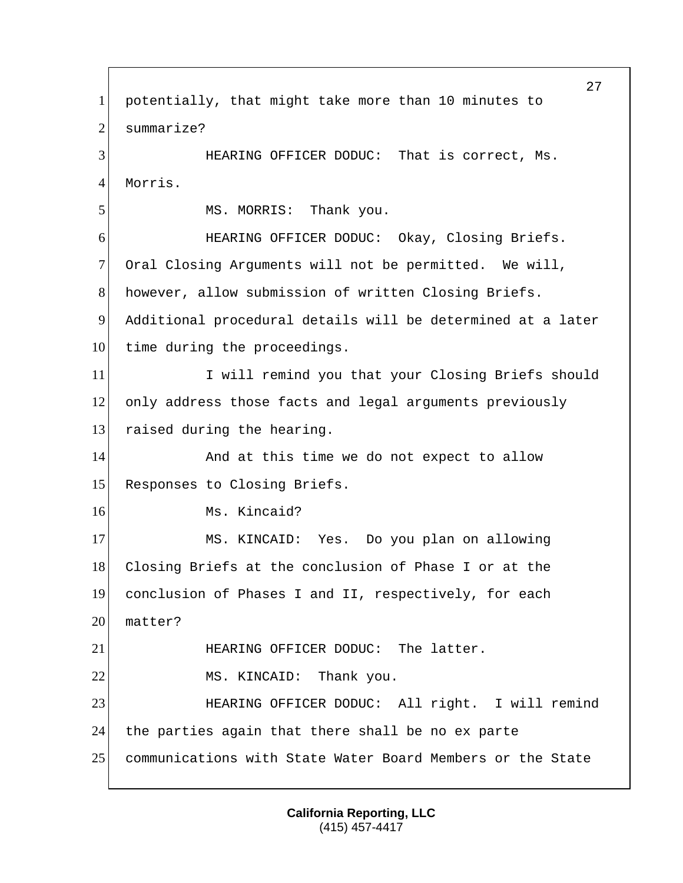27 1 potentially, that might take more than 10 minutes to 2 summarize? 3 HEARING OFFICER DODUC: That is correct, Ms. 4 Morris. 5 MS. MORRIS: Thank you. 6 HEARING OFFICER DODUC: Okay, Closing Briefs. 7 Oral Closing Arguments will not be permitted. We will, 8 however, allow submission of written Closing Briefs. 9 Additional procedural details will be determined at a later 10 time during the proceedings. 11 I Will remind you that your Closing Briefs should 12 only address those facts and legal arguments previously 13 raised during the hearing. 14 and at this time we do not expect to allow 15 Responses to Closing Briefs. 16 Ms. Kincaid? 17 MS. KINCAID: Yes. Do you plan on allowing 18 Closing Briefs at the conclusion of Phase I or at the 19 conclusion of Phases I and II, respectively, for each 20 matter? 21 HEARING OFFICER DODUC: The latter. 22 MS. KINCAID: Thank you. 23 HEARING OFFICER DODUC: All right. I will remind 24 the parties again that there shall be no ex parte 25 communications with State Water Board Members or the State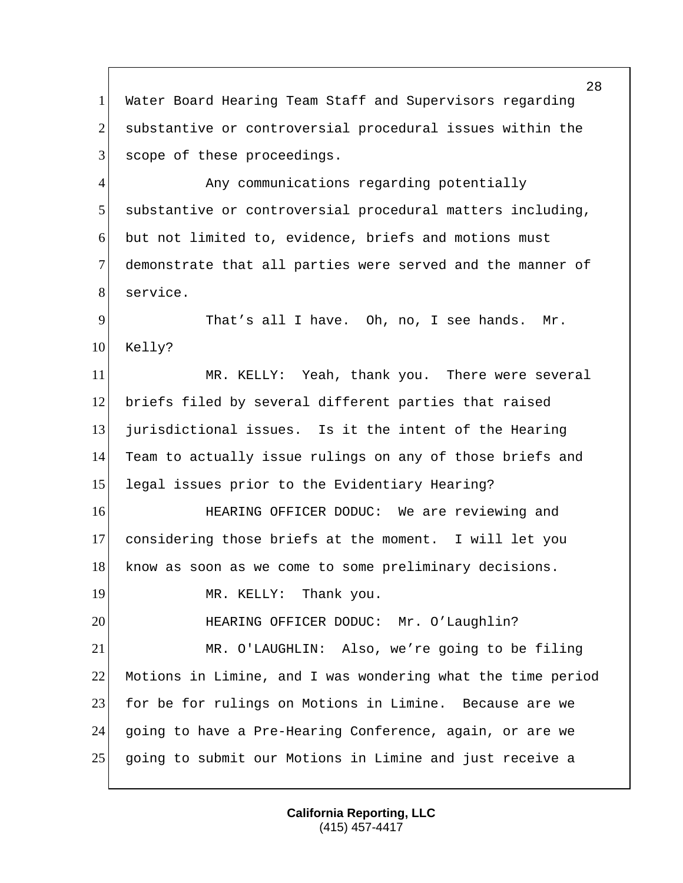Water Board Hearing Team Staff and Supervisors regarding 2 substantive or controversial procedural issues within the 3 scope of these proceedings.

4 Any communications regarding potentially substantive or controversial procedural matters including, but not limited to, evidence, briefs and motions must demonstrate that all parties were served and the manner of 8 service.

 That's all I have. Oh, no, I see hands. Mr. Kelly?

 MR. KELLY: Yeah, thank you. There were several briefs filed by several different parties that raised jurisdictional issues. Is it the intent of the Hearing Team to actually issue rulings on any of those briefs and 15 legal issues prior to the Evidentiary Hearing?

**HEARING OFFICER DODUC:** We are reviewing and considering those briefs at the moment. I will let you 18 know as soon as we come to some preliminary decisions.

19 MR. KELLY: Thank you.

20 HEARING OFFICER DODUC: Mr. O'Laughlin? MR. O'LAUGHLIN: Also, we're going to be filing

 Motions in Limine, and I was wondering what the time period 23 for be for rulings on Motions in Limine. Because are we going to have a Pre-Hearing Conference, again, or are we going to submit our Motions in Limine and just receive a

> **California Reporting, LLC** (415) 457-4417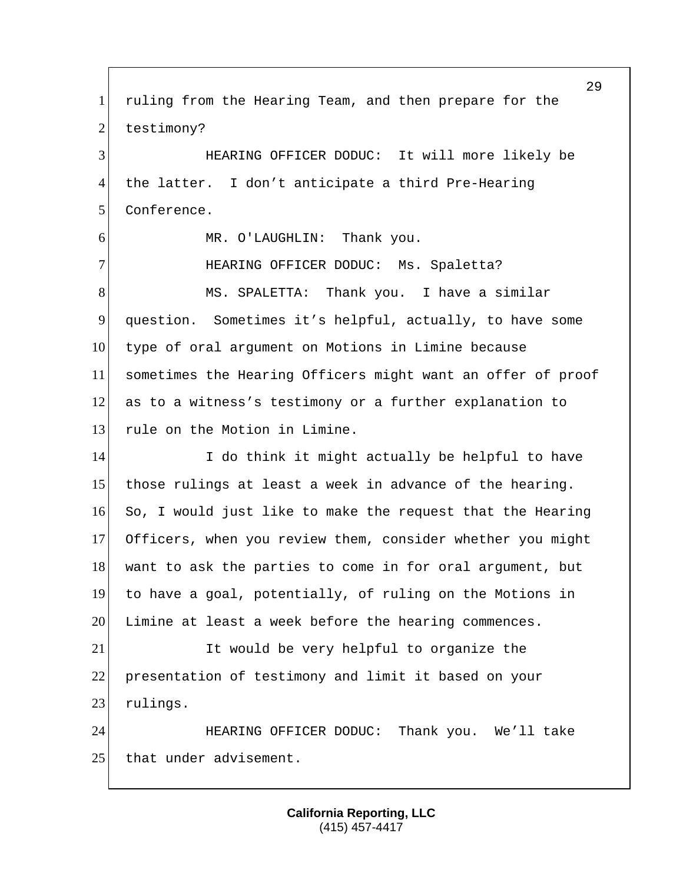29 1 ruling from the Hearing Team, and then prepare for the 2 testimony? 3 HEARING OFFICER DODUC: It will more likely be 4 the latter. I don't anticipate a third Pre-Hearing 5 Conference. 6 MR. O'LAUGHLIN: Thank you. 7 HEARING OFFICER DODUC: Ms. Spaletta? 8 MS. SPALETTA: Thank you. I have a similar 9 question. Sometimes it's helpful, actually, to have some 10 type of oral argument on Motions in Limine because 11 sometimes the Hearing Officers might want an offer of proof 12 as to a witness's testimony or a further explanation to 13 rule on the Motion in Limine. 14 I do think it might actually be helpful to have 15 those rulings at least a week in advance of the hearing. 16 So, I would just like to make the request that the Hearing 17 Officers, when you review them, consider whether you might 18 want to ask the parties to come in for oral argument, but 19 to have a goal, potentially, of ruling on the Motions in 20 Limine at least a week before the hearing commences. 21 It would be very helpful to organize the 22 presentation of testimony and limit it based on your 23 rulings. 24 HEARING OFFICER DODUC: Thank you. We'll take 25 that under advisement.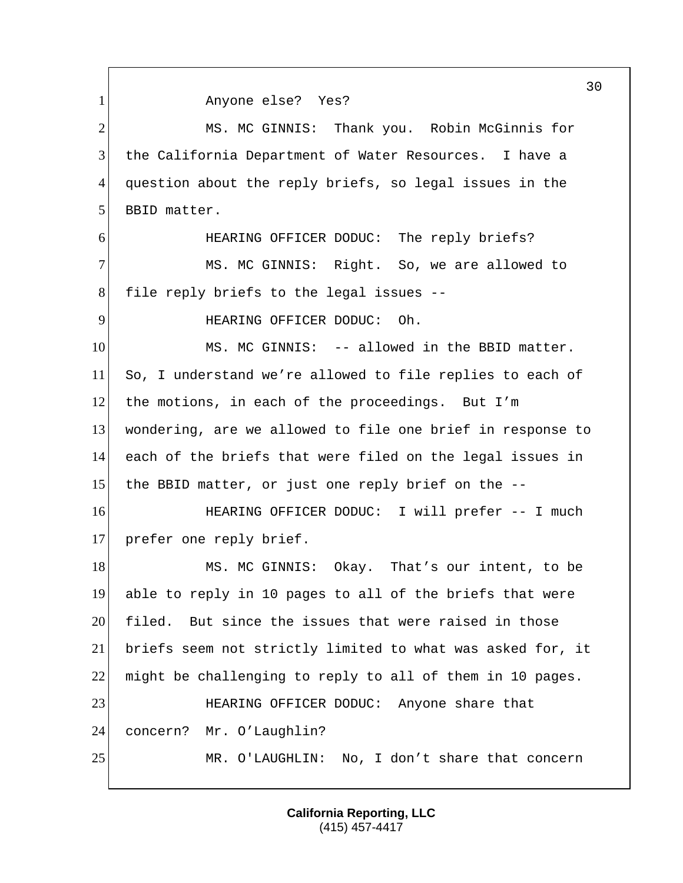1 Anyone else? Yes? 2 MS. MC GINNIS: Thank you. Robin McGinnis for 3 the California Department of Water Resources. I have a 4 question about the reply briefs, so legal issues in the 5 BBID matter. 6 HEARING OFFICER DODUC: The reply briefs? 7 MS. MC GINNIS: Right. So, we are allowed to 8 file reply briefs to the legal issues --9 HEARING OFFICER DODUC: Oh. 10 MS. MC GINNIS: -- allowed in the BBID matter. 11 So, I understand we're allowed to file replies to each of 12 the motions, in each of the proceedings. But I'm 13 wondering, are we allowed to file one brief in response to 14 each of the briefs that were filed on the legal issues in 15 the BBID matter, or just one reply brief on the -- 16 HEARING OFFICER DODUC: I will prefer -- I much 17 prefer one reply brief. 18 MS. MC GINNIS: Okay. That's our intent, to be 19 able to reply in 10 pages to all of the briefs that were 20 filed. But since the issues that were raised in those 21 briefs seem not strictly limited to what was asked for, it 22 might be challenging to reply to all of them in 10 pages. 23 HEARING OFFICER DODUC: Anyone share that 24 concern? Mr. O'Laughlin? 25 MR. O'LAUGHLIN: No, I don't share that concern

> **California Reporting, LLC** (415) 457-4417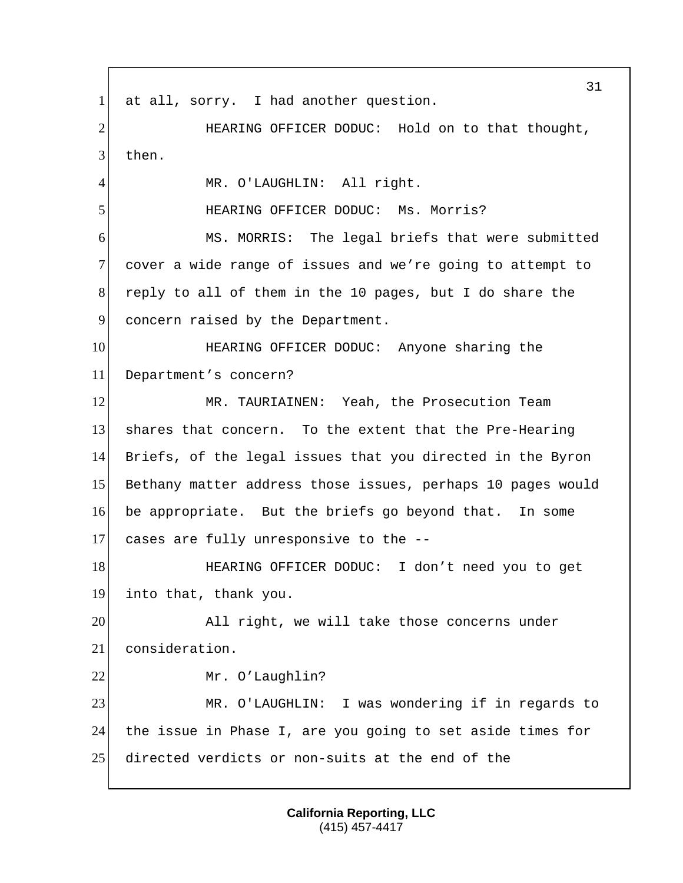31 1 at all, sorry. I had another question. 2 HEARING OFFICER DODUC: Hold on to that thought, 3 then. 4 MR. O'LAUGHLIN: All right. 5 HEARING OFFICER DODUC: Ms. Morris? 6 MS. MORRIS: The legal briefs that were submitted 7 cover a wide range of issues and we're going to attempt to 8 reply to all of them in the 10 pages, but I do share the 9 concern raised by the Department. 10 HEARING OFFICER DODUC: Anyone sharing the 11 Department's concern? 12 MR. TAURIAINEN: Yeah, the Prosecution Team 13 shares that concern. To the extent that the Pre-Hearing 14 Briefs, of the legal issues that you directed in the Byron 15 Bethany matter address those issues, perhaps 10 pages would 16 be appropriate. But the briefs go beyond that. In some 17 cases are fully unresponsive to the -- 18 HEARING OFFICER DODUC: I don't need you to get 19 into that, thank you. 20 All right, we will take those concerns under 21 consideration. 22 Mr. O'Laughlin? 23 MR. O'LAUGHLIN: I was wondering if in regards to 24 | the issue in Phase I, are you going to set aside times for 25 directed verdicts or non-suits at the end of the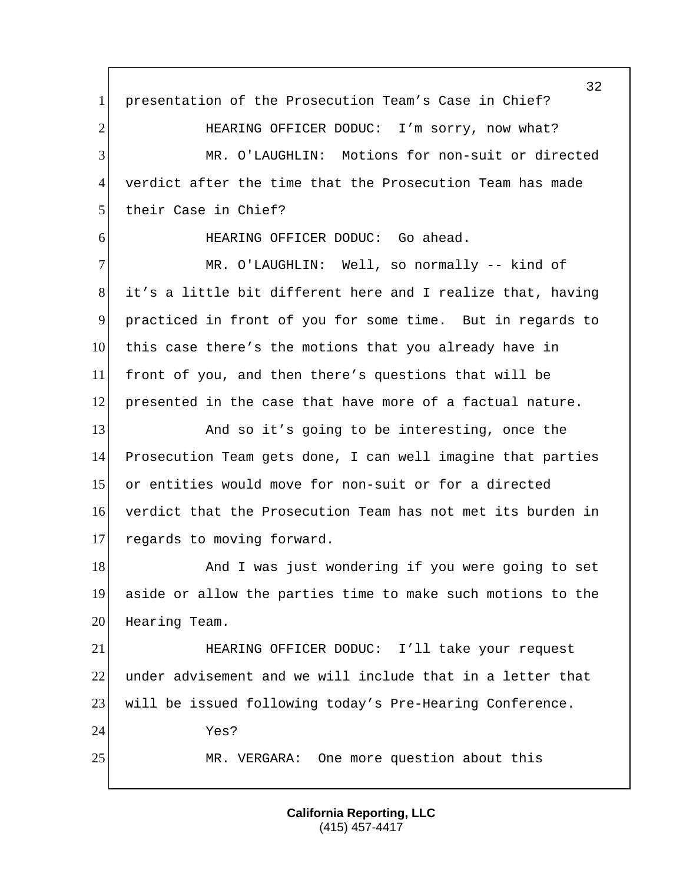1 presentation of the Prosecution Team's Case in Chief? 2 HEARING OFFICER DODUC: I'm sorry, now what? MR. O'LAUGHLIN: Motions for non-suit or directed verdict after the time that the Prosecution Team has made 5 their Case in Chief? 6 HEARING OFFICER DODUC: Go ahead. 7 MR. O'LAUGHLIN: Well, so normally -- kind of it's a little bit different here and I realize that, having practiced in front of you for some time. But in regards to this case there's the motions that you already have in front of you, and then there's questions that will be presented in the case that have more of a factual nature. 13 And so it's going to be interesting, once the Prosecution Team gets done, I can well imagine that parties or entities would move for non-suit or for a directed verdict that the Prosecution Team has not met its burden in 17 regards to moving forward. 18 And I was just wondering if you were going to set aside or allow the parties time to make such motions to the 20 Hearing Team. HEARING OFFICER DODUC: I'll take your request under advisement and we will include that in a letter that will be issued following today's Pre-Hearing Conference. Yes? MR. VERGARA: One more question about this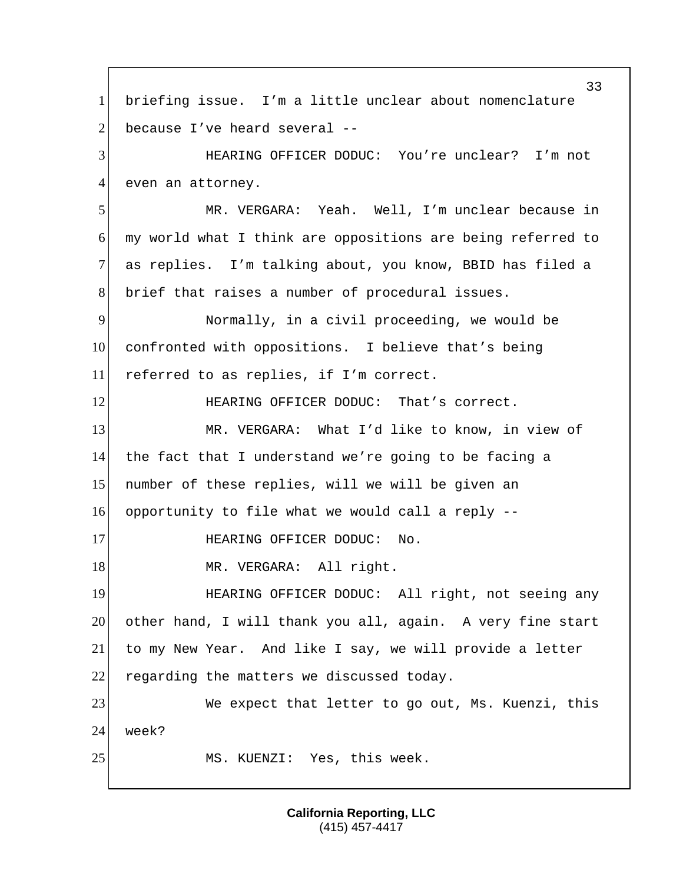33 1 briefing issue. I'm a little unclear about nomenclature 2 because I've heard several  $-$ 3 HEARING OFFICER DODUC: You're unclear? I'm not 4 even an attorney. 5 MR. VERGARA: Yeah. Well, I'm unclear because in 6 my world what I think are oppositions are being referred to 7 as replies. I'm talking about, you know, BBID has filed a 8 brief that raises a number of procedural issues. 9 Normally, in a civil proceeding, we would be 10 confronted with oppositions. I believe that's being 11 referred to as replies, if I'm correct. 12 **HEARING OFFICER DODUC:** That's correct. 13 MR. VERGARA: What I'd like to know, in view of 14 the fact that I understand we're going to be facing a 15 number of these replies, will we will be given an 16 opportunity to file what we would call a reply -- 17 HEARING OFFICER DODUC: No. 18 MR. VERGARA: All right. 19 HEARING OFFICER DODUC: All right, not seeing any 20 other hand, I will thank you all, again. A very fine start 21 to my New Year. And like I say, we will provide a letter 22 regarding the matters we discussed today. 23 We expect that letter to go out, Ms. Kuenzi, this 24 week? 25 MS. KUENZI: Yes, this week.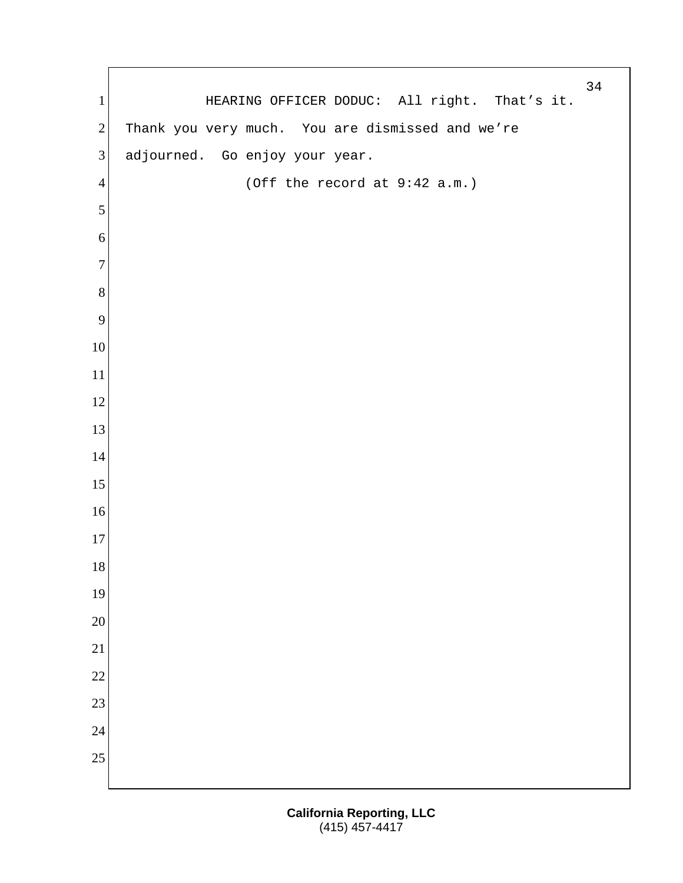1 HEARING OFFICER DODUC: All right. That's it. 2 Thank you very much. You are dismissed and we're 3 adjourned. Go enjoy your year. (Off the record at 9:42 a.m.)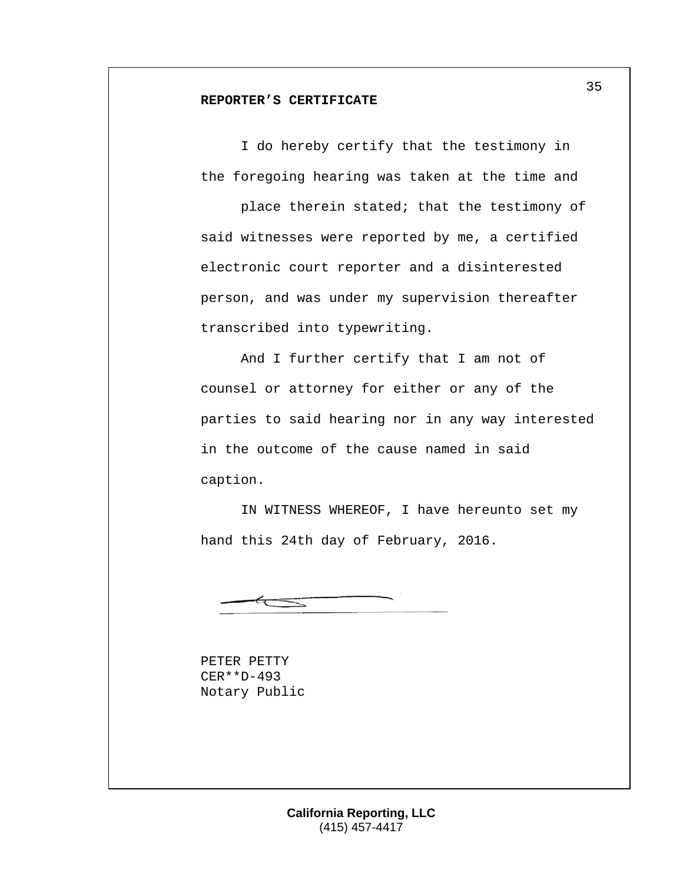### **REPORTER'S CERTIFICATE**

I do hereby certify that the testimony in the foregoing hearing was taken at the time and

place therein stated; that the testimony of said witnesses were reported by me, a certified electronic court reporter and a disinterested person, and was under my supervision thereafter transcribed into typewriting.

And I further certify that I am not of counsel or attorney for either or any of the parties to said hearing nor in any way interested in the outcome of the cause named in said caption.

IN WITNESS WHEREOF, I have hereunto set my hand this 24th day of February, 2016.

PETER PETTY CER\*\*D-493 Notary Public